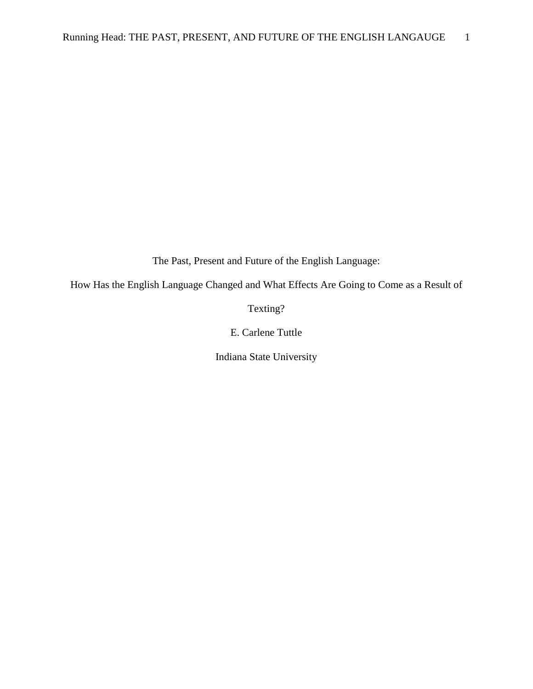The Past, Present and Future of the English Language:

How Has the English Language Changed and What Effects Are Going to Come as a Result of

Texting?

E. Carlene Tuttle

Indiana State University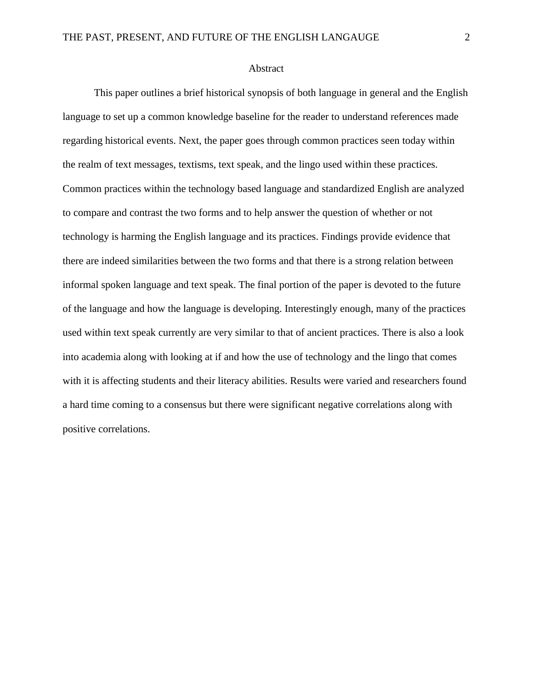### Abstract

This paper outlines a brief historical synopsis of both language in general and the English language to set up a common knowledge baseline for the reader to understand references made regarding historical events. Next, the paper goes through common practices seen today within the realm of text messages, textisms, text speak, and the lingo used within these practices. Common practices within the technology based language and standardized English are analyzed to compare and contrast the two forms and to help answer the question of whether or not technology is harming the English language and its practices. Findings provide evidence that there are indeed similarities between the two forms and that there is a strong relation between informal spoken language and text speak. The final portion of the paper is devoted to the future of the language and how the language is developing. Interestingly enough, many of the practices used within text speak currently are very similar to that of ancient practices. There is also a look into academia along with looking at if and how the use of technology and the lingo that comes with it is affecting students and their literacy abilities. Results were varied and researchers found a hard time coming to a consensus but there were significant negative correlations along with positive correlations.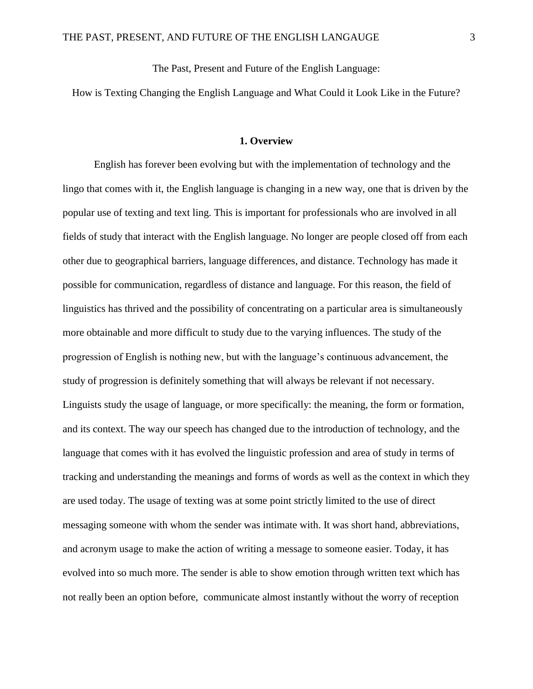The Past, Present and Future of the English Language:

How is Texting Changing the English Language and What Could it Look Like in the Future?

## **1. Overview**

English has forever been evolving but with the implementation of technology and the lingo that comes with it, the English language is changing in a new way, one that is driven by the popular use of texting and text ling. This is important for professionals who are involved in all fields of study that interact with the English language. No longer are people closed off from each other due to geographical barriers, language differences, and distance. Technology has made it possible for communication, regardless of distance and language. For this reason, the field of linguistics has thrived and the possibility of concentrating on a particular area is simultaneously more obtainable and more difficult to study due to the varying influences. The study of the progression of English is nothing new, but with the language's continuous advancement, the study of progression is definitely something that will always be relevant if not necessary. Linguists study the usage of language, or more specifically: the meaning, the form or formation, and its context. The way our speech has changed due to the introduction of technology, and the language that comes with it has evolved the linguistic profession and area of study in terms of tracking and understanding the meanings and forms of words as well as the context in which they are used today. The usage of texting was at some point strictly limited to the use of direct messaging someone with whom the sender was intimate with. It was short hand, abbreviations, and acronym usage to make the action of writing a message to someone easier. Today, it has evolved into so much more. The sender is able to show emotion through written text which has not really been an option before, communicate almost instantly without the worry of reception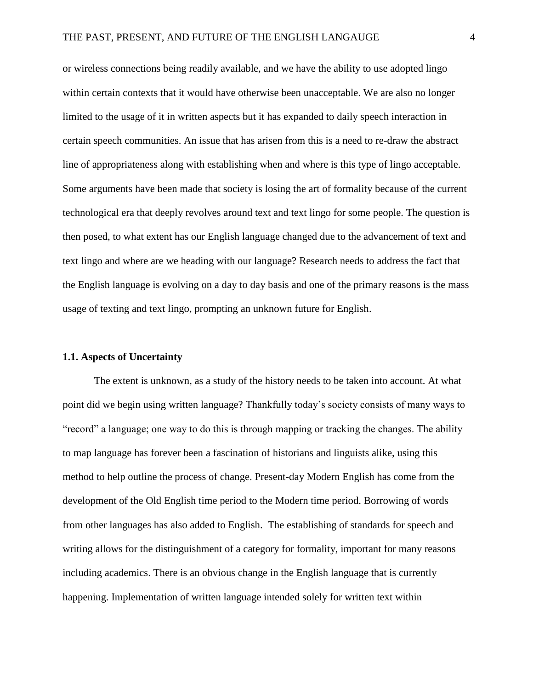or wireless connections being readily available, and we have the ability to use adopted lingo within certain contexts that it would have otherwise been unacceptable. We are also no longer limited to the usage of it in written aspects but it has expanded to daily speech interaction in certain speech communities. An issue that has arisen from this is a need to re-draw the abstract line of appropriateness along with establishing when and where is this type of lingo acceptable. Some arguments have been made that society is losing the art of formality because of the current technological era that deeply revolves around text and text lingo for some people. The question is then posed, to what extent has our English language changed due to the advancement of text and text lingo and where are we heading with our language? Research needs to address the fact that the English language is evolving on a day to day basis and one of the primary reasons is the mass usage of texting and text lingo, prompting an unknown future for English.

# **1.1. Aspects of Uncertainty**

The extent is unknown, as a study of the history needs to be taken into account. At what point did we begin using written language? Thankfully today's society consists of many ways to "record" a language; one way to do this is through mapping or tracking the changes. The ability to map language has forever been a fascination of historians and linguists alike, using this method to help outline the process of change. Present-day Modern English has come from the development of the Old English time period to the Modern time period. Borrowing of words from other languages has also added to English. The establishing of standards for speech and writing allows for the distinguishment of a category for formality, important for many reasons including academics. There is an obvious change in the English language that is currently happening. Implementation of written language intended solely for written text within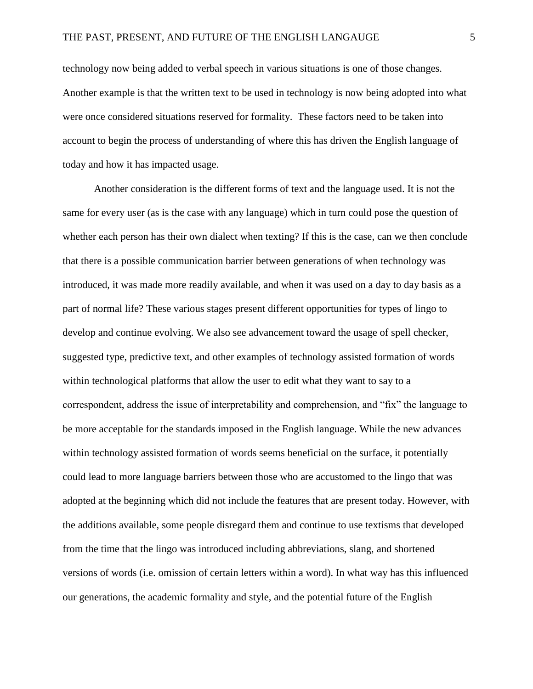technology now being added to verbal speech in various situations is one of those changes. Another example is that the written text to be used in technology is now being adopted into what were once considered situations reserved for formality. These factors need to be taken into account to begin the process of understanding of where this has driven the English language of today and how it has impacted usage.

Another consideration is the different forms of text and the language used. It is not the same for every user (as is the case with any language) which in turn could pose the question of whether each person has their own dialect when texting? If this is the case, can we then conclude that there is a possible communication barrier between generations of when technology was introduced, it was made more readily available, and when it was used on a day to day basis as a part of normal life? These various stages present different opportunities for types of lingo to develop and continue evolving. We also see advancement toward the usage of spell checker, suggested type, predictive text, and other examples of technology assisted formation of words within technological platforms that allow the user to edit what they want to say to a correspondent, address the issue of interpretability and comprehension, and "fix" the language to be more acceptable for the standards imposed in the English language. While the new advances within technology assisted formation of words seems beneficial on the surface, it potentially could lead to more language barriers between those who are accustomed to the lingo that was adopted at the beginning which did not include the features that are present today. However, with the additions available, some people disregard them and continue to use textisms that developed from the time that the lingo was introduced including abbreviations, slang, and shortened versions of words (i.e. omission of certain letters within a word). In what way has this influenced our generations, the academic formality and style, and the potential future of the English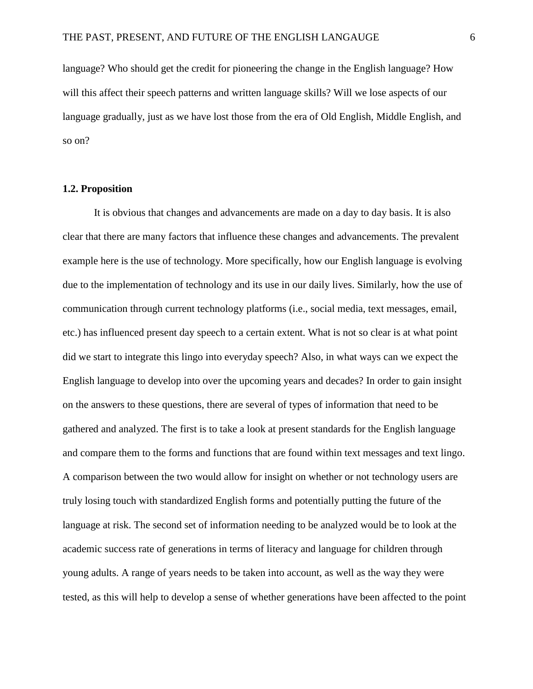language? Who should get the credit for pioneering the change in the English language? How will this affect their speech patterns and written language skills? Will we lose aspects of our language gradually, just as we have lost those from the era of Old English, Middle English, and so on?

# **1.2. Proposition**

It is obvious that changes and advancements are made on a day to day basis. It is also clear that there are many factors that influence these changes and advancements. The prevalent example here is the use of technology. More specifically, how our English language is evolving due to the implementation of technology and its use in our daily lives. Similarly, how the use of communication through current technology platforms (i.e., social media, text messages, email, etc.) has influenced present day speech to a certain extent. What is not so clear is at what point did we start to integrate this lingo into everyday speech? Also, in what ways can we expect the English language to develop into over the upcoming years and decades? In order to gain insight on the answers to these questions, there are several of types of information that need to be gathered and analyzed. The first is to take a look at present standards for the English language and compare them to the forms and functions that are found within text messages and text lingo. A comparison between the two would allow for insight on whether or not technology users are truly losing touch with standardized English forms and potentially putting the future of the language at risk. The second set of information needing to be analyzed would be to look at the academic success rate of generations in terms of literacy and language for children through young adults. A range of years needs to be taken into account, as well as the way they were tested, as this will help to develop a sense of whether generations have been affected to the point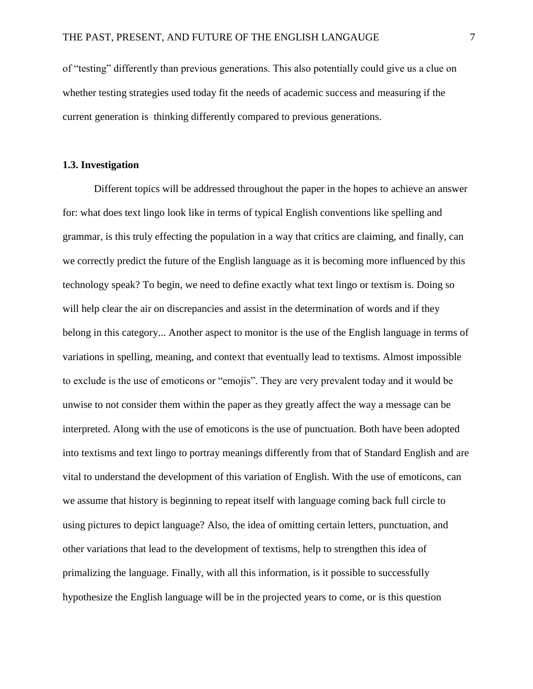of "testing" differently than previous generations. This also potentially could give us a clue on whether testing strategies used today fit the needs of academic success and measuring if the current generation is thinking differently compared to previous generations.

# **1.3. Investigation**

Different topics will be addressed throughout the paper in the hopes to achieve an answer for: what does text lingo look like in terms of typical English conventions like spelling and grammar, is this truly effecting the population in a way that critics are claiming, and finally, can we correctly predict the future of the English language as it is becoming more influenced by this technology speak? To begin, we need to define exactly what text lingo or textism is. Doing so will help clear the air on discrepancies and assist in the determination of words and if they belong in this category... Another aspect to monitor is the use of the English language in terms of variations in spelling, meaning, and context that eventually lead to textisms. Almost impossible to exclude is the use of emoticons or "emojis". They are very prevalent today and it would be unwise to not consider them within the paper as they greatly affect the way a message can be interpreted. Along with the use of emoticons is the use of punctuation. Both have been adopted into textisms and text lingo to portray meanings differently from that of Standard English and are vital to understand the development of this variation of English. With the use of emoticons, can we assume that history is beginning to repeat itself with language coming back full circle to using pictures to depict language? Also, the idea of omitting certain letters, punctuation, and other variations that lead to the development of textisms, help to strengthen this idea of primalizing the language. Finally, with all this information, is it possible to successfully hypothesize the English language will be in the projected years to come, or is this question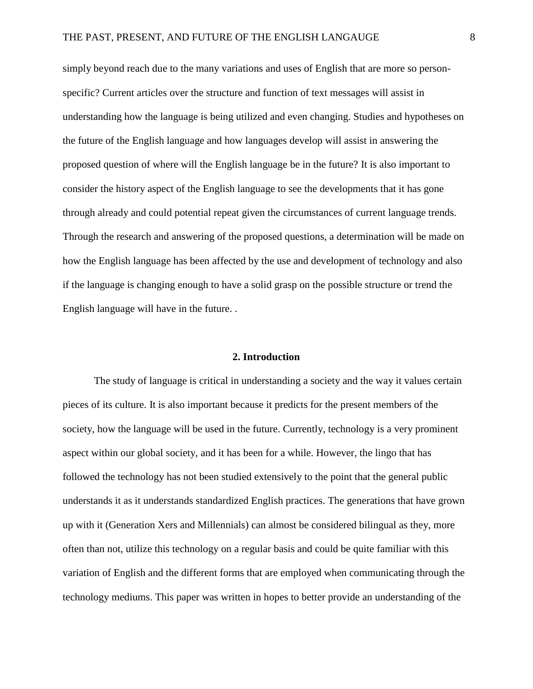simply beyond reach due to the many variations and uses of English that are more so personspecific? Current articles over the structure and function of text messages will assist in understanding how the language is being utilized and even changing. Studies and hypotheses on the future of the English language and how languages develop will assist in answering the proposed question of where will the English language be in the future? It is also important to consider the history aspect of the English language to see the developments that it has gone through already and could potential repeat given the circumstances of current language trends. Through the research and answering of the proposed questions, a determination will be made on how the English language has been affected by the use and development of technology and also if the language is changing enough to have a solid grasp on the possible structure or trend the English language will have in the future. .

# **2. Introduction**

The study of language is critical in understanding a society and the way it values certain pieces of its culture. It is also important because it predicts for the present members of the society, how the language will be used in the future. Currently, technology is a very prominent aspect within our global society, and it has been for a while. However, the lingo that has followed the technology has not been studied extensively to the point that the general public understands it as it understands standardized English practices. The generations that have grown up with it (Generation Xers and Millennials) can almost be considered bilingual as they, more often than not, utilize this technology on a regular basis and could be quite familiar with this variation of English and the different forms that are employed when communicating through the technology mediums. This paper was written in hopes to better provide an understanding of the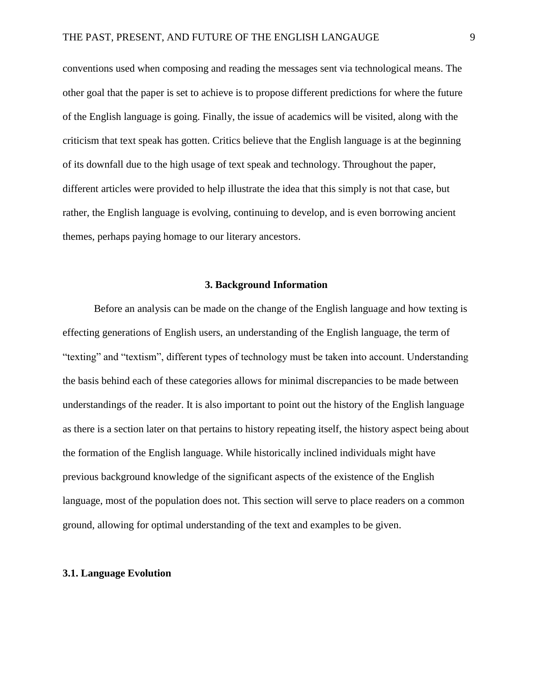conventions used when composing and reading the messages sent via technological means. The other goal that the paper is set to achieve is to propose different predictions for where the future of the English language is going. Finally, the issue of academics will be visited, along with the criticism that text speak has gotten. Critics believe that the English language is at the beginning of its downfall due to the high usage of text speak and technology. Throughout the paper, different articles were provided to help illustrate the idea that this simply is not that case, but rather, the English language is evolving, continuing to develop, and is even borrowing ancient themes, perhaps paying homage to our literary ancestors.

# **3. Background Information**

Before an analysis can be made on the change of the English language and how texting is effecting generations of English users, an understanding of the English language, the term of "texting" and "textism", different types of technology must be taken into account. Understanding the basis behind each of these categories allows for minimal discrepancies to be made between understandings of the reader. It is also important to point out the history of the English language as there is a section later on that pertains to history repeating itself, the history aspect being about the formation of the English language. While historically inclined individuals might have previous background knowledge of the significant aspects of the existence of the English language, most of the population does not. This section will serve to place readers on a common ground, allowing for optimal understanding of the text and examples to be given.

# **3.1. Language Evolution**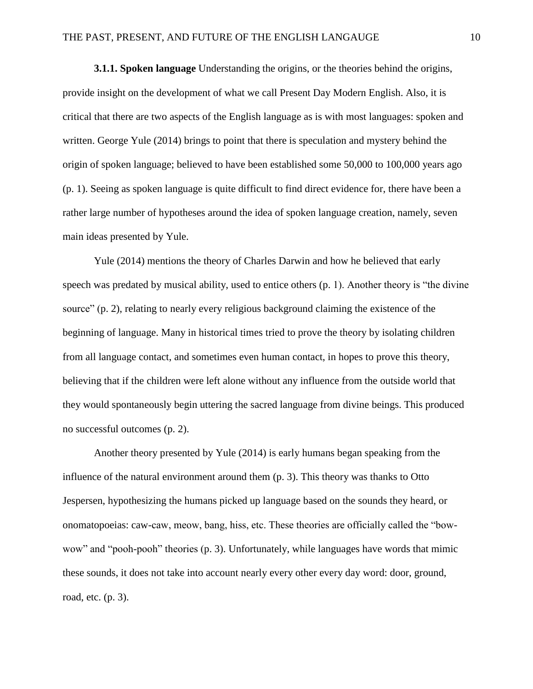**3.1.1. Spoken language** Understanding the origins, or the theories behind the origins, provide insight on the development of what we call Present Day Modern English. Also, it is critical that there are two aspects of the English language as is with most languages: spoken and written. George Yule (2014) brings to point that there is speculation and mystery behind the origin of spoken language; believed to have been established some 50,000 to 100,000 years ago (p. 1). Seeing as spoken language is quite difficult to find direct evidence for, there have been a rather large number of hypotheses around the idea of spoken language creation, namely, seven main ideas presented by Yule.

Yule (2014) mentions the theory of Charles Darwin and how he believed that early speech was predated by musical ability, used to entice others (p. 1). Another theory is "the divine source" (p. 2), relating to nearly every religious background claiming the existence of the beginning of language. Many in historical times tried to prove the theory by isolating children from all language contact, and sometimes even human contact, in hopes to prove this theory, believing that if the children were left alone without any influence from the outside world that they would spontaneously begin uttering the sacred language from divine beings. This produced no successful outcomes (p. 2).

Another theory presented by Yule (2014) is early humans began speaking from the influence of the natural environment around them (p. 3). This theory was thanks to Otto Jespersen, hypothesizing the humans picked up language based on the sounds they heard, or onomatopoeias: caw-caw, meow, bang, hiss, etc. These theories are officially called the "bowwow" and "pooh-pooh" theories (p. 3). Unfortunately, while languages have words that mimic these sounds, it does not take into account nearly every other every day word: door, ground, road, etc. (p. 3).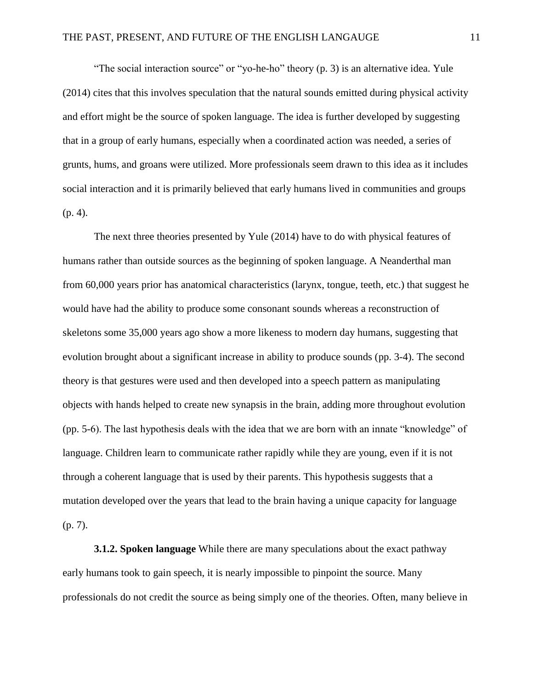"The social interaction source" or "yo-he-ho" theory (p. 3) is an alternative idea. Yule (2014) cites that this involves speculation that the natural sounds emitted during physical activity and effort might be the source of spoken language. The idea is further developed by suggesting that in a group of early humans, especially when a coordinated action was needed, a series of grunts, hums, and groans were utilized. More professionals seem drawn to this idea as it includes social interaction and it is primarily believed that early humans lived in communities and groups (p. 4).

The next three theories presented by Yule (2014) have to do with physical features of humans rather than outside sources as the beginning of spoken language. A Neanderthal man from 60,000 years prior has anatomical characteristics (larynx, tongue, teeth, etc.) that suggest he would have had the ability to produce some consonant sounds whereas a reconstruction of skeletons some 35,000 years ago show a more likeness to modern day humans, suggesting that evolution brought about a significant increase in ability to produce sounds (pp. 3-4). The second theory is that gestures were used and then developed into a speech pattern as manipulating objects with hands helped to create new synapsis in the brain, adding more throughout evolution (pp. 5-6). The last hypothesis deals with the idea that we are born with an innate "knowledge" of language. Children learn to communicate rather rapidly while they are young, even if it is not through a coherent language that is used by their parents. This hypothesis suggests that a mutation developed over the years that lead to the brain having a unique capacity for language (p. 7).

**3.1.2. Spoken language** While there are many speculations about the exact pathway early humans took to gain speech, it is nearly impossible to pinpoint the source. Many professionals do not credit the source as being simply one of the theories. Often, many believe in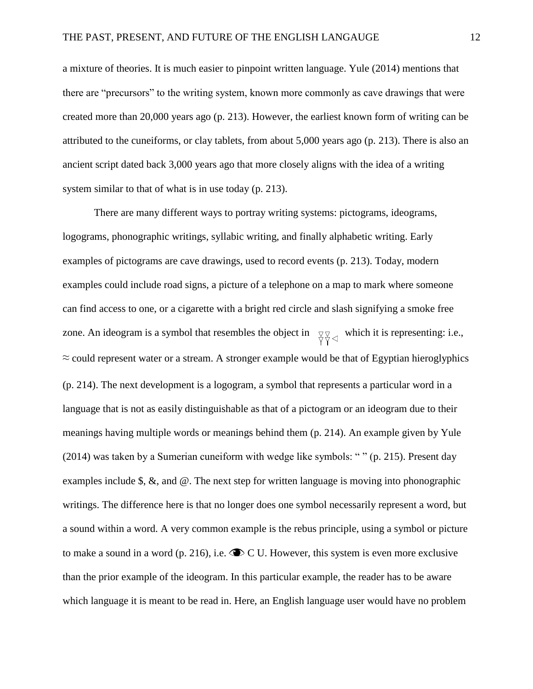a mixture of theories. It is much easier to pinpoint written language. Yule (2014) mentions that there are "precursors" to the writing system, known more commonly as cave drawings that were created more than 20,000 years ago (p. 213). However, the earliest known form of writing can be attributed to the cuneiforms, or clay tablets, from about 5,000 years ago (p. 213). There is also an ancient script dated back 3,000 years ago that more closely aligns with the idea of a writing system similar to that of what is in use today (p. 213).

There are many different ways to portray writing systems: pictograms, ideograms, logograms, phonographic writings, syllabic writing, and finally alphabetic writing. Early examples of pictograms are cave drawings, used to record events (p. 213). Today, modern examples could include road signs, a picture of a telephone on a map to mark where someone can find access to one, or a cigarette with a bright red circle and slash signifying a smoke free zone. An ideogram is a symbol that resembles the object in  $\forall \forall \forall$  which it is representing: i.e.,  $\approx$  could represent water or a stream. A stronger example would be that of Egyptian hieroglyphics (p. 214). The next development is a logogram, a symbol that represents a particular word in a language that is not as easily distinguishable as that of a pictogram or an ideogram due to their meanings having multiple words or meanings behind them (p. 214). An example given by Yule (2014) was taken by a Sumerian cuneiform with wedge like symbols: " " (p. 215). Present day examples include \$, &, and @. The next step for written language is moving into phonographic writings. The difference here is that no longer does one symbol necessarily represent a word, but a sound within a word. A very common example is the rebus principle, using a symbol or picture to make a sound in a word (p. 216), i.e.  $\bullet \bullet C$  U. However, this system is even more exclusive than the prior example of the ideogram. In this particular example, the reader has to be aware which language it is meant to be read in. Here, an English language user would have no problem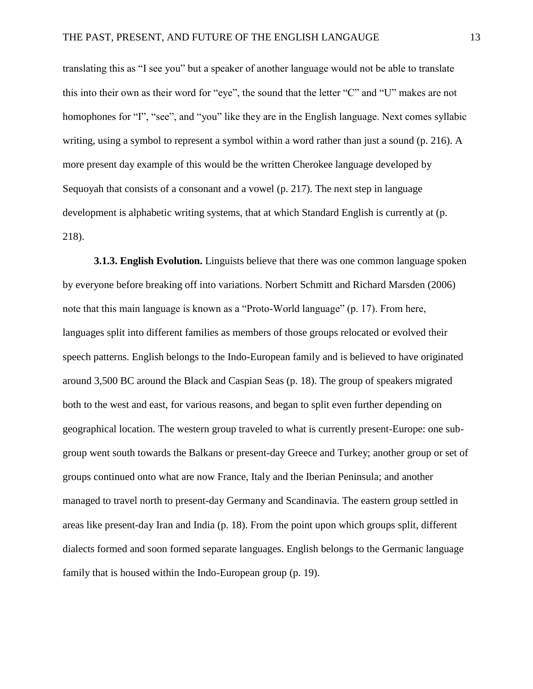translating this as "I see you" but a speaker of another language would not be able to translate this into their own as their word for "eye", the sound that the letter "C" and "U" makes are not homophones for "I", "see", and "you" like they are in the English language. Next comes syllabic writing, using a symbol to represent a symbol within a word rather than just a sound (p. 216). A more present day example of this would be the written Cherokee language developed by Sequoyah that consists of a consonant and a vowel (p. 217). The next step in language development is alphabetic writing systems, that at which Standard English is currently at (p. 218).

**3.1.3. English Evolution.** Linguists believe that there was one common language spoken by everyone before breaking off into variations. Norbert Schmitt and Richard Marsden (2006) note that this main language is known as a "Proto-World language" (p. 17). From here, languages split into different families as members of those groups relocated or evolved their speech patterns. English belongs to the Indo-European family and is believed to have originated around 3,500 BC around the Black and Caspian Seas (p. 18). The group of speakers migrated both to the west and east, for various reasons, and began to split even further depending on geographical location. The western group traveled to what is currently present-Europe: one subgroup went south towards the Balkans or present-day Greece and Turkey; another group or set of groups continued onto what are now France, Italy and the Iberian Peninsula; and another managed to travel north to present-day Germany and Scandinavia. The eastern group settled in areas like present-day Iran and India (p. 18). From the point upon which groups split, different dialects formed and soon formed separate languages. English belongs to the Germanic language family that is housed within the Indo-European group (p. 19).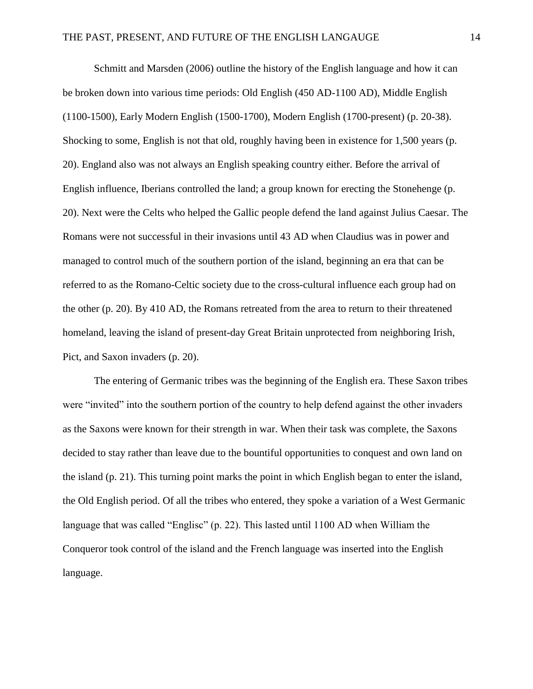Schmitt and Marsden (2006) outline the history of the English language and how it can be broken down into various time periods: Old English (450 AD-1100 AD), Middle English (1100-1500), Early Modern English (1500-1700), Modern English (1700-present) (p. 20-38). Shocking to some, English is not that old, roughly having been in existence for 1,500 years (p. 20). England also was not always an English speaking country either. Before the arrival of English influence, Iberians controlled the land; a group known for erecting the Stonehenge (p. 20). Next were the Celts who helped the Gallic people defend the land against Julius Caesar. The Romans were not successful in their invasions until 43 AD when Claudius was in power and managed to control much of the southern portion of the island, beginning an era that can be referred to as the Romano-Celtic society due to the cross-cultural influence each group had on the other (p. 20). By 410 AD, the Romans retreated from the area to return to their threatened homeland, leaving the island of present-day Great Britain unprotected from neighboring Irish, Pict, and Saxon invaders (p. 20).

The entering of Germanic tribes was the beginning of the English era. These Saxon tribes were "invited" into the southern portion of the country to help defend against the other invaders as the Saxons were known for their strength in war. When their task was complete, the Saxons decided to stay rather than leave due to the bountiful opportunities to conquest and own land on the island (p. 21). This turning point marks the point in which English began to enter the island, the Old English period. Of all the tribes who entered, they spoke a variation of a West Germanic language that was called "Englisc" (p. 22). This lasted until 1100 AD when William the Conqueror took control of the island and the French language was inserted into the English language.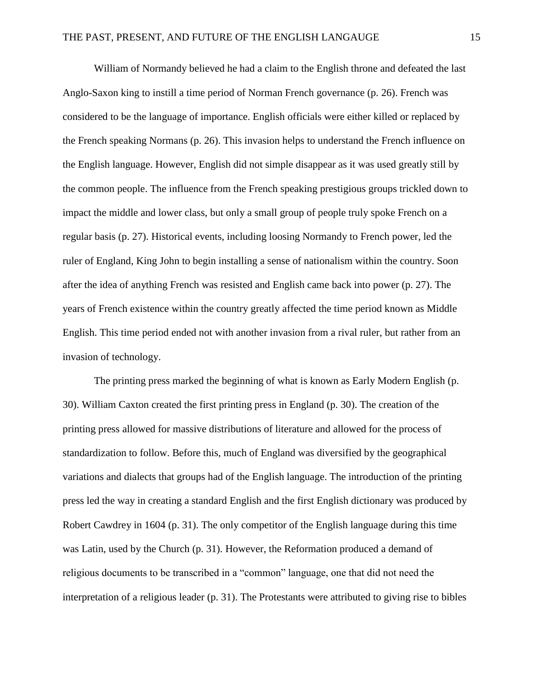William of Normandy believed he had a claim to the English throne and defeated the last Anglo-Saxon king to instill a time period of Norman French governance (p. 26). French was considered to be the language of importance. English officials were either killed or replaced by the French speaking Normans (p. 26). This invasion helps to understand the French influence on the English language. However, English did not simple disappear as it was used greatly still by the common people. The influence from the French speaking prestigious groups trickled down to impact the middle and lower class, but only a small group of people truly spoke French on a regular basis (p. 27). Historical events, including loosing Normandy to French power, led the ruler of England, King John to begin installing a sense of nationalism within the country. Soon after the idea of anything French was resisted and English came back into power (p. 27). The years of French existence within the country greatly affected the time period known as Middle English. This time period ended not with another invasion from a rival ruler, but rather from an invasion of technology.

The printing press marked the beginning of what is known as Early Modern English (p. 30). William Caxton created the first printing press in England (p. 30). The creation of the printing press allowed for massive distributions of literature and allowed for the process of standardization to follow. Before this, much of England was diversified by the geographical variations and dialects that groups had of the English language. The introduction of the printing press led the way in creating a standard English and the first English dictionary was produced by Robert Cawdrey in 1604 (p. 31). The only competitor of the English language during this time was Latin, used by the Church (p. 31). However, the Reformation produced a demand of religious documents to be transcribed in a "common" language, one that did not need the interpretation of a religious leader (p. 31). The Protestants were attributed to giving rise to bibles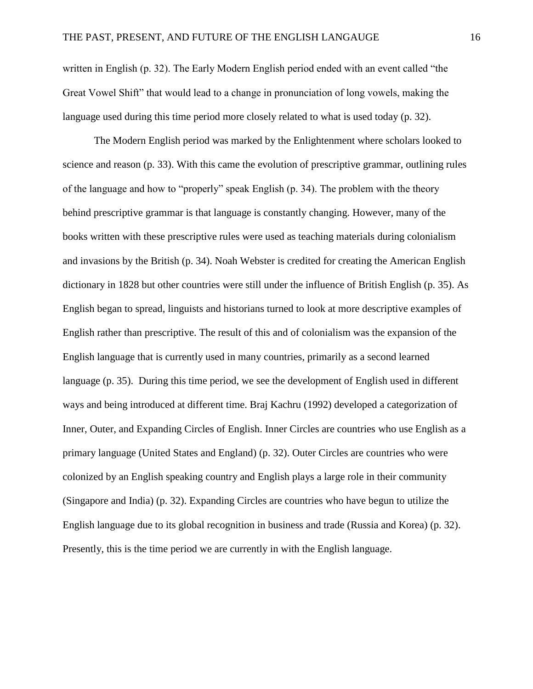written in English (p. 32). The Early Modern English period ended with an event called "the Great Vowel Shift" that would lead to a change in pronunciation of long vowels, making the language used during this time period more closely related to what is used today (p. 32).

The Modern English period was marked by the Enlightenment where scholars looked to science and reason (p. 33). With this came the evolution of prescriptive grammar, outlining rules of the language and how to "properly" speak English (p. 34). The problem with the theory behind prescriptive grammar is that language is constantly changing. However, many of the books written with these prescriptive rules were used as teaching materials during colonialism and invasions by the British (p. 34). Noah Webster is credited for creating the American English dictionary in 1828 but other countries were still under the influence of British English (p. 35). As English began to spread, linguists and historians turned to look at more descriptive examples of English rather than prescriptive. The result of this and of colonialism was the expansion of the English language that is currently used in many countries, primarily as a second learned language (p. 35). During this time period, we see the development of English used in different ways and being introduced at different time. Braj Kachru (1992) developed a categorization of Inner, Outer, and Expanding Circles of English. Inner Circles are countries who use English as a primary language (United States and England) (p. 32). Outer Circles are countries who were colonized by an English speaking country and English plays a large role in their community (Singapore and India) (p. 32). Expanding Circles are countries who have begun to utilize the English language due to its global recognition in business and trade (Russia and Korea) (p. 32). Presently, this is the time period we are currently in with the English language.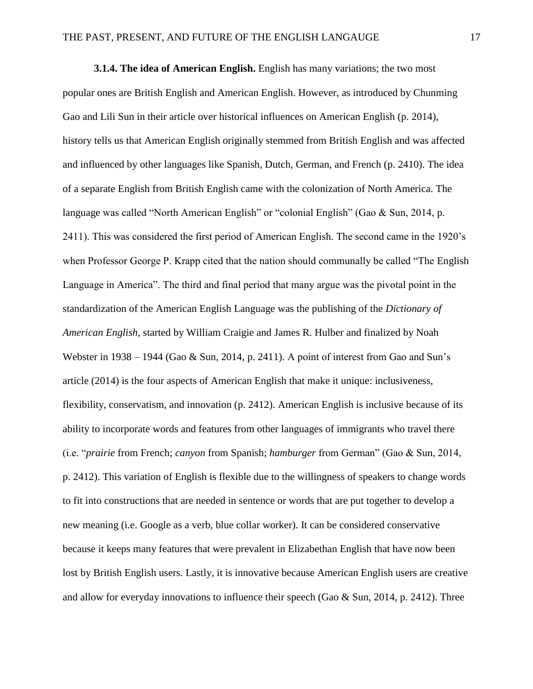**3.1.4. The idea of American English.** English has many variations; the two most popular ones are British English and American English. However, as introduced by Chunming Gao and Lili Sun in their article over historical influences on American English (p. 2014), history tells us that American English originally stemmed from British English and was affected and influenced by other languages like Spanish, Dutch, German, and French (p. 2410). The idea of a separate English from British English came with the colonization of North America. The language was called "North American English" or "colonial English" (Gao & Sun, 2014, p. 2411). This was considered the first period of American English. The second came in the 1920's when Professor George P. Krapp cited that the nation should communally be called "The English Language in America". The third and final period that many argue was the pivotal point in the standardization of the American English Language was the publishing of the *Dictionary of American English*, started by William Craigie and James R. Hulber and finalized by Noah Webster in 1938 – 1944 (Gao & Sun, 2014, p. 2411). A point of interest from Gao and Sun's article (2014) is the four aspects of American English that make it unique: inclusiveness, flexibility, conservatism, and innovation (p. 2412). American English is inclusive because of its ability to incorporate words and features from other languages of immigrants who travel there (i.e. "*prairie* from French; *canyon* from Spanish; *hamburger* from German" (Gao & Sun, 2014, p. 2412). This variation of English is flexible due to the willingness of speakers to change words to fit into constructions that are needed in sentence or words that are put together to develop a new meaning (i.e. Google as a verb, blue collar worker). It can be considered conservative because it keeps many features that were prevalent in Elizabethan English that have now been lost by British English users. Lastly, it is innovative because American English users are creative and allow for everyday innovations to influence their speech (Gao & Sun, 2014, p. 2412). Three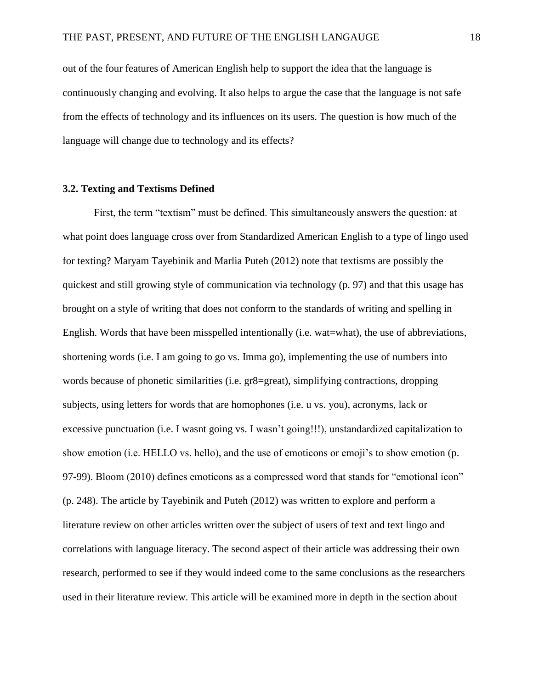out of the four features of American English help to support the idea that the language is continuously changing and evolving. It also helps to argue the case that the language is not safe from the effects of technology and its influences on its users. The question is how much of the language will change due to technology and its effects?

# **3.2. Texting and Textisms Defined**

First, the term "textism" must be defined. This simultaneously answers the question: at what point does language cross over from Standardized American English to a type of lingo used for texting? Maryam Tayebinik and Marlia Puteh (2012) note that textisms are possibly the quickest and still growing style of communication via technology (p. 97) and that this usage has brought on a style of writing that does not conform to the standards of writing and spelling in English. Words that have been misspelled intentionally (i.e. wat=what), the use of abbreviations, shortening words (i.e. I am going to go vs. Imma go), implementing the use of numbers into words because of phonetic similarities (i.e. gr8=great), simplifying contractions, dropping subjects, using letters for words that are homophones (i.e. u vs. you), acronyms, lack or excessive punctuation (i.e. I wasnt going vs. I wasn't going!!!), unstandardized capitalization to show emotion (i.e. HELLO vs. hello), and the use of emoticons or emoji's to show emotion (p. 97-99). Bloom (2010) defines emoticons as a compressed word that stands for "emotional icon" (p. 248). The article by Tayebinik and Puteh (2012) was written to explore and perform a literature review on other articles written over the subject of users of text and text lingo and correlations with language literacy. The second aspect of their article was addressing their own research, performed to see if they would indeed come to the same conclusions as the researchers used in their literature review. This article will be examined more in depth in the section about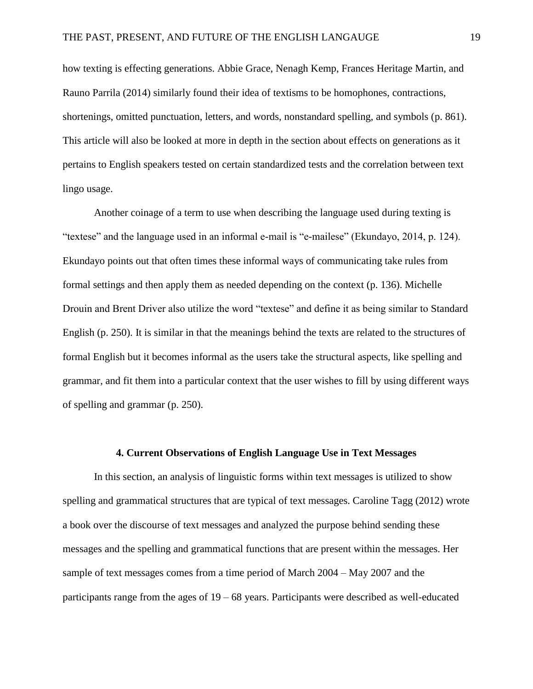how texting is effecting generations. Abbie Grace, Nenagh Kemp, Frances Heritage Martin, and Rauno Parrila (2014) similarly found their idea of textisms to be homophones, contractions, shortenings, omitted punctuation, letters, and words, nonstandard spelling, and symbols (p. 861). This article will also be looked at more in depth in the section about effects on generations as it pertains to English speakers tested on certain standardized tests and the correlation between text lingo usage.

Another coinage of a term to use when describing the language used during texting is "textese" and the language used in an informal e-mail is "e-mailese" (Ekundayo, 2014, p. 124). Ekundayo points out that often times these informal ways of communicating take rules from formal settings and then apply them as needed depending on the context (p. 136). Michelle Drouin and Brent Driver also utilize the word "textese" and define it as being similar to Standard English (p. 250). It is similar in that the meanings behind the texts are related to the structures of formal English but it becomes informal as the users take the structural aspects, like spelling and grammar, and fit them into a particular context that the user wishes to fill by using different ways of spelling and grammar (p. 250).

# **4. Current Observations of English Language Use in Text Messages**

In this section, an analysis of linguistic forms within text messages is utilized to show spelling and grammatical structures that are typical of text messages. Caroline Tagg (2012) wrote a book over the discourse of text messages and analyzed the purpose behind sending these messages and the spelling and grammatical functions that are present within the messages. Her sample of text messages comes from a time period of March 2004 – May 2007 and the participants range from the ages of 19 – 68 years. Participants were described as well-educated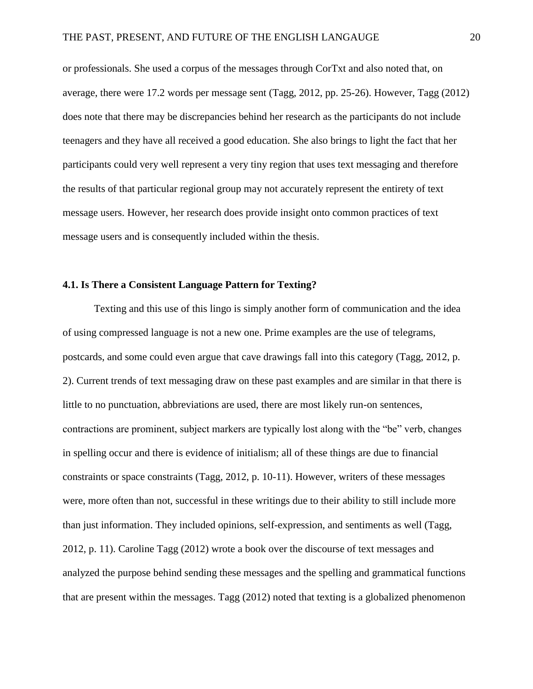or professionals. She used a corpus of the messages through CorTxt and also noted that, on average, there were 17.2 words per message sent (Tagg, 2012, pp. 25-26). However, Tagg (2012) does note that there may be discrepancies behind her research as the participants do not include teenagers and they have all received a good education. She also brings to light the fact that her participants could very well represent a very tiny region that uses text messaging and therefore the results of that particular regional group may not accurately represent the entirety of text message users. However, her research does provide insight onto common practices of text message users and is consequently included within the thesis.

# **4.1. Is There a Consistent Language Pattern for Texting?**

Texting and this use of this lingo is simply another form of communication and the idea of using compressed language is not a new one. Prime examples are the use of telegrams, postcards, and some could even argue that cave drawings fall into this category (Tagg, 2012, p. 2). Current trends of text messaging draw on these past examples and are similar in that there is little to no punctuation, abbreviations are used, there are most likely run-on sentences, contractions are prominent, subject markers are typically lost along with the "be" verb, changes in spelling occur and there is evidence of initialism; all of these things are due to financial constraints or space constraints (Tagg, 2012, p. 10-11). However, writers of these messages were, more often than not, successful in these writings due to their ability to still include more than just information. They included opinions, self-expression, and sentiments as well (Tagg, 2012, p. 11). Caroline Tagg (2012) wrote a book over the discourse of text messages and analyzed the purpose behind sending these messages and the spelling and grammatical functions that are present within the messages. Tagg (2012) noted that texting is a globalized phenomenon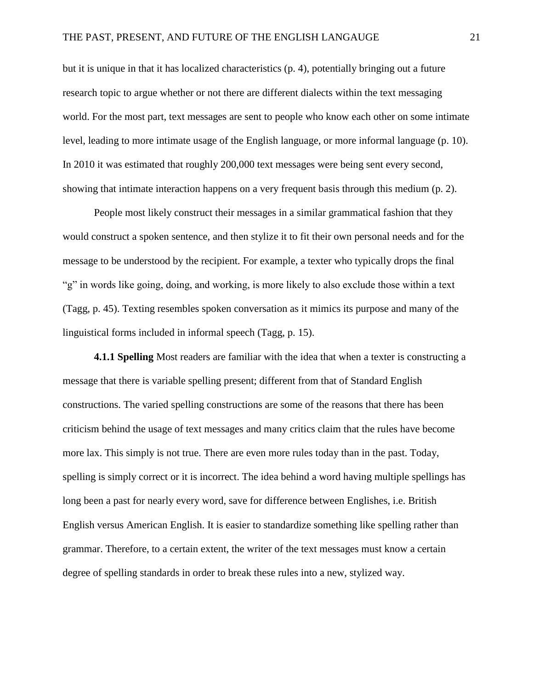but it is unique in that it has localized characteristics (p. 4), potentially bringing out a future research topic to argue whether or not there are different dialects within the text messaging world. For the most part, text messages are sent to people who know each other on some intimate level, leading to more intimate usage of the English language, or more informal language (p. 10). In 2010 it was estimated that roughly 200,000 text messages were being sent every second, showing that intimate interaction happens on a very frequent basis through this medium (p. 2).

People most likely construct their messages in a similar grammatical fashion that they would construct a spoken sentence, and then stylize it to fit their own personal needs and for the message to be understood by the recipient. For example, a texter who typically drops the final "g" in words like going, doing, and working, is more likely to also exclude those within a text (Tagg, p. 45). Texting resembles spoken conversation as it mimics its purpose and many of the linguistical forms included in informal speech (Tagg, p. 15).

**4.1.1 Spelling** Most readers are familiar with the idea that when a texter is constructing a message that there is variable spelling present; different from that of Standard English constructions. The varied spelling constructions are some of the reasons that there has been criticism behind the usage of text messages and many critics claim that the rules have become more lax. This simply is not true. There are even more rules today than in the past. Today, spelling is simply correct or it is incorrect. The idea behind a word having multiple spellings has long been a past for nearly every word, save for difference between Englishes, i.e. British English versus American English. It is easier to standardize something like spelling rather than grammar. Therefore, to a certain extent, the writer of the text messages must know a certain degree of spelling standards in order to break these rules into a new, stylized way.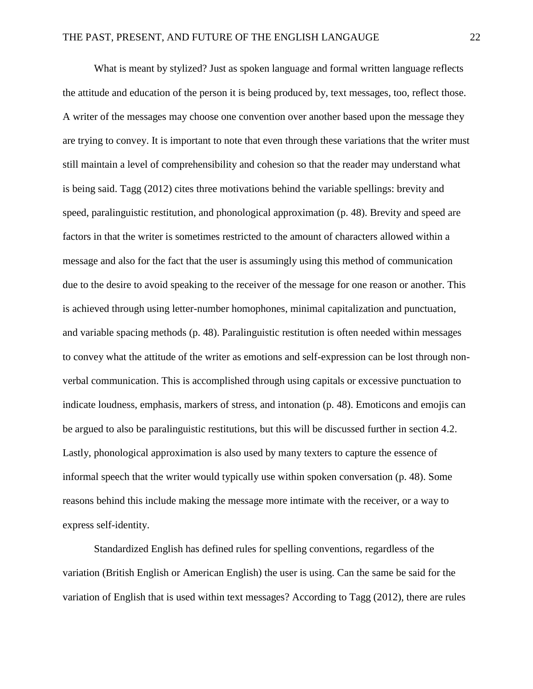What is meant by stylized? Just as spoken language and formal written language reflects the attitude and education of the person it is being produced by, text messages, too, reflect those. A writer of the messages may choose one convention over another based upon the message they are trying to convey. It is important to note that even through these variations that the writer must still maintain a level of comprehensibility and cohesion so that the reader may understand what is being said. Tagg (2012) cites three motivations behind the variable spellings: brevity and speed, paralinguistic restitution, and phonological approximation (p. 48). Brevity and speed are factors in that the writer is sometimes restricted to the amount of characters allowed within a message and also for the fact that the user is assumingly using this method of communication due to the desire to avoid speaking to the receiver of the message for one reason or another. This is achieved through using letter-number homophones, minimal capitalization and punctuation, and variable spacing methods (p. 48). Paralinguistic restitution is often needed within messages to convey what the attitude of the writer as emotions and self-expression can be lost through nonverbal communication. This is accomplished through using capitals or excessive punctuation to indicate loudness, emphasis, markers of stress, and intonation (p. 48). Emoticons and emojis can be argued to also be paralinguistic restitutions, but this will be discussed further in section 4.2. Lastly, phonological approximation is also used by many texters to capture the essence of informal speech that the writer would typically use within spoken conversation (p. 48). Some reasons behind this include making the message more intimate with the receiver, or a way to express self-identity.

Standardized English has defined rules for spelling conventions, regardless of the variation (British English or American English) the user is using. Can the same be said for the variation of English that is used within text messages? According to Tagg (2012), there are rules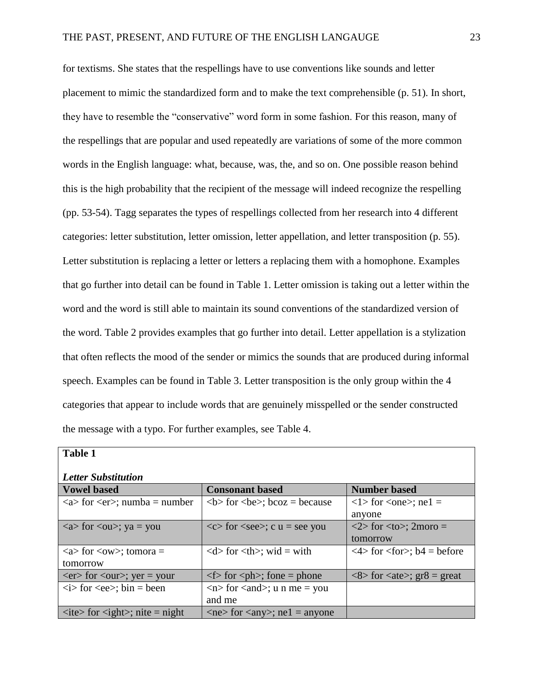for textisms. She states that the respellings have to use conventions like sounds and letter placement to mimic the standardized form and to make the text comprehensible (p. 51). In short, they have to resemble the "conservative" word form in some fashion. For this reason, many of the respellings that are popular and used repeatedly are variations of some of the more common words in the English language: what, because, was, the, and so on. One possible reason behind this is the high probability that the recipient of the message will indeed recognize the respelling (pp. 53-54). Tagg separates the types of respellings collected from her research into 4 different categories: letter substitution, letter omission, letter appellation, and letter transposition (p. 55). Letter substitution is replacing a letter or letters a replacing them with a homophone. Examples that go further into detail can be found in Table 1. Letter omission is taking out a letter within the word and the word is still able to maintain its sound conventions of the standardized version of the word. Table 2 provides examples that go further into detail. Letter appellation is a stylization that often reflects the mood of the sender or mimics the sounds that are produced during informal speech. Examples can be found in Table 3. Letter transposition is the only group within the 4 categories that appear to include words that are genuinely misspelled or the sender constructed the message with a typo. For further examples, see Table 4.

| <b>Table 1</b>                                                 |                                                                |                                                                               |
|----------------------------------------------------------------|----------------------------------------------------------------|-------------------------------------------------------------------------------|
| <b>Letter Substitution</b>                                     |                                                                |                                                                               |
| <b>Vowel based</b>                                             | <b>Consonant based</b>                                         | <b>Number based</b>                                                           |
| $\langle a \rangle$ for $\langle er \rangle$ ; numba = number  | $5$ for $6$ ; bcoz = because                                   | $\langle$ 1> for $\langle$ one>; ne1 =                                        |
|                                                                |                                                                | anyone                                                                        |
| $\langle a \rangle$ for $\langle ou \rangle$ ; ya = you        | $<<$ for $<$ see $>$ ; c u = see you                           | $\langle 2 \rangle$ for $\langle$ to $\rangle$ ; 2moro =                      |
|                                                                |                                                                | tomorrow                                                                      |
| $\langle a \rangle$ for $\langle \text{ow} \rangle$ ; tomora = | $\langle d \rangle$ for $\langle th \rangle$ ; wid = with      | $\langle 4 \rangle$ for $\langle$ for $\rangle$ ; b4 = before                 |
| tomorrow                                                       |                                                                |                                                                               |
| $\langle er \rangle$ for $\langle our \rangle$ ; yer = your    | $\langle$ for $\langle$ ph $\rangle$ ; fone = phone            | $\langle 8 \rangle$ for $\langle 24 \rangle$ ; gr $\langle 8 \rangle$ = great |
| $\langle i \rangle$ for $\langle ee \rangle$ ; bin = been      | $\langle n \rangle$ for $\langle$ and $\rangle$ ; u n me = you |                                                                               |
|                                                                | and me                                                         |                                                                               |
| $\langle$ ite> for $\langle$ ight>; nite = night               | $\langle$ ne> for $\langle$ any>; ne1 = anyone                 |                                                                               |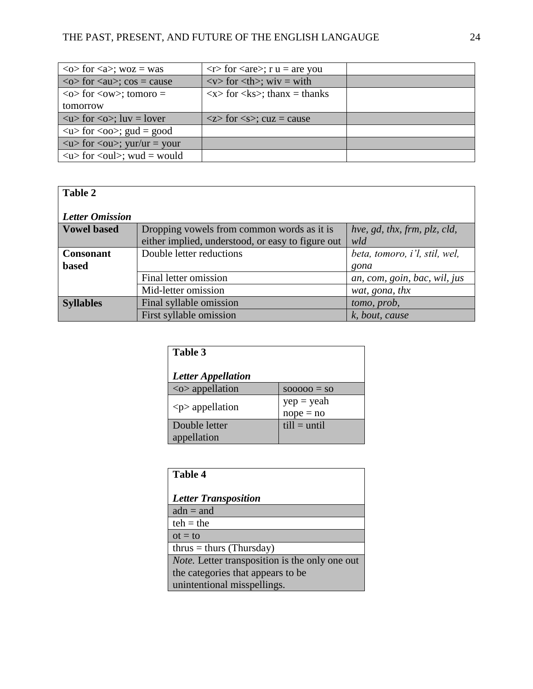| $\langle$ o for $\langle$ a $\rangle$ ; woz = was                 | $\langle r \rangle$ for $\langle \langle are \rangle$ ; r u = are you |  |
|-------------------------------------------------------------------|-----------------------------------------------------------------------|--|
| $\langle$ $\infty$ for $\langle$ au $\rangle$ ; cos = cause       | $\langle v \rangle$ for $\langle th \rangle$ ; wiv = with             |  |
| $\langle$ o $\rangle$ for $\langle$ ow $\rangle$ ; tomoro =       | $\langle x \rangle$ for $\langle ks \rangle$ ; thanx = thanks         |  |
| tomorrow                                                          |                                                                       |  |
| $\langle u \rangle$ for $\langle 0 \rangle$ ; luv = lover         | $\langle z \rangle$ for $\langle s \rangle$ ; cuz = cause             |  |
| $\langle u \rangle$ for $\langle 00 \rangle$ ; gud = good         |                                                                       |  |
| $\langle u \rangle$ for $\langle 0u \rangle$ ; yur/ur = your      |                                                                       |  |
| $\langle u \rangle$ for $\langle \text{oul}\rangle$ ; wud = would |                                                                       |  |

# **Table 2**

# *Letter Omission*

| Lewer Vindssevil   |                                                   |                               |
|--------------------|---------------------------------------------------|-------------------------------|
| <b>Vowel based</b> | Dropping vowels from common words as it is        | hve, gd, thx, frm, plz, cld,  |
|                    | either implied, understood, or easy to figure out | wld                           |
| <b>Consonant</b>   | Double letter reductions                          | beta, tomoro, i'l, stil, wel, |
| <b>based</b>       |                                                   | gona                          |
|                    | Final letter omission                             | an, com, goin, bac, wil, jus  |
|                    | Mid-letter omission                               | wat, gona, thx                |
| <b>Syllables</b>   | Final syllable omission                           | tomo, prob,                   |
|                    | First syllable omission                           | k, bout, cause                |

| Table 3                      |                             |
|------------------------------|-----------------------------|
| <b>Letter Appellation</b>    |                             |
| $\langle$ o > appellation    | $S00000 = S0$               |
| $< p>$ appellation           | $yep = yeah$<br>$nope = no$ |
| Double letter<br>appellation | $till = until$              |

| <b>Table 4</b>                                        |  |  |
|-------------------------------------------------------|--|--|
| <b>Letter Transposition</b>                           |  |  |
| $adn = and$                                           |  |  |
| $teh = the$                                           |  |  |
| $ot = to$                                             |  |  |
| $thrus = thurs$ (Thursday)                            |  |  |
| <i>Note.</i> Letter transposition is the only one out |  |  |
| the categories that appears to be                     |  |  |
| unintentional misspellings.                           |  |  |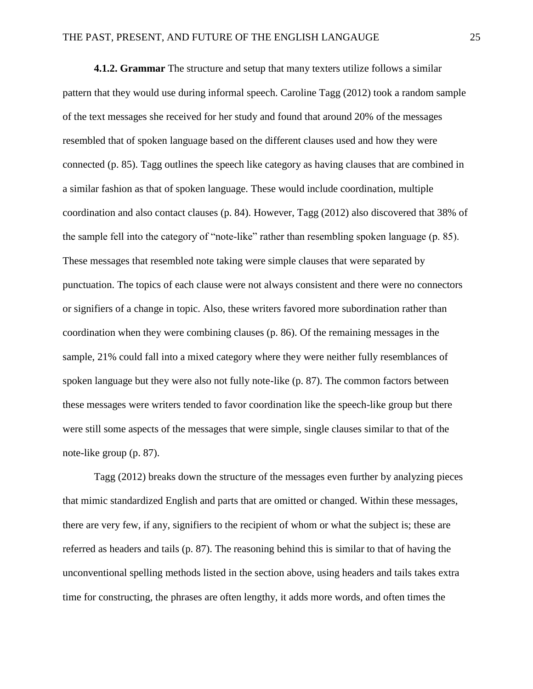**4.1.2. Grammar** The structure and setup that many texters utilize follows a similar pattern that they would use during informal speech. Caroline Tagg (2012) took a random sample of the text messages she received for her study and found that around 20% of the messages resembled that of spoken language based on the different clauses used and how they were connected (p. 85). Tagg outlines the speech like category as having clauses that are combined in a similar fashion as that of spoken language. These would include coordination, multiple coordination and also contact clauses (p. 84). However, Tagg (2012) also discovered that 38% of the sample fell into the category of "note-like" rather than resembling spoken language (p. 85). These messages that resembled note taking were simple clauses that were separated by punctuation. The topics of each clause were not always consistent and there were no connectors or signifiers of a change in topic. Also, these writers favored more subordination rather than coordination when they were combining clauses (p. 86). Of the remaining messages in the sample, 21% could fall into a mixed category where they were neither fully resemblances of spoken language but they were also not fully note-like (p. 87). The common factors between these messages were writers tended to favor coordination like the speech-like group but there were still some aspects of the messages that were simple, single clauses similar to that of the note-like group (p. 87).

Tagg (2012) breaks down the structure of the messages even further by analyzing pieces that mimic standardized English and parts that are omitted or changed. Within these messages, there are very few, if any, signifiers to the recipient of whom or what the subject is; these are referred as headers and tails (p. 87). The reasoning behind this is similar to that of having the unconventional spelling methods listed in the section above, using headers and tails takes extra time for constructing, the phrases are often lengthy, it adds more words, and often times the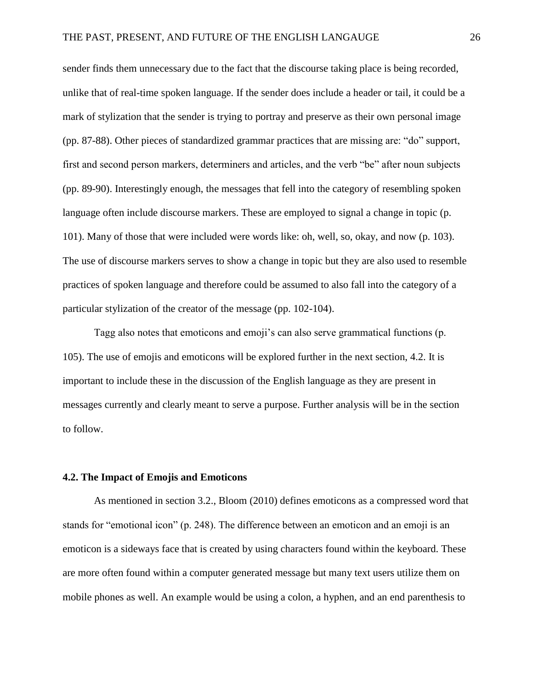sender finds them unnecessary due to the fact that the discourse taking place is being recorded, unlike that of real-time spoken language. If the sender does include a header or tail, it could be a mark of stylization that the sender is trying to portray and preserve as their own personal image (pp. 87-88). Other pieces of standardized grammar practices that are missing are: "do" support, first and second person markers, determiners and articles, and the verb "be" after noun subjects (pp. 89-90). Interestingly enough, the messages that fell into the category of resembling spoken language often include discourse markers. These are employed to signal a change in topic (p. 101). Many of those that were included were words like: oh, well, so, okay, and now (p. 103). The use of discourse markers serves to show a change in topic but they are also used to resemble practices of spoken language and therefore could be assumed to also fall into the category of a particular stylization of the creator of the message (pp. 102-104).

Tagg also notes that emoticons and emoji's can also serve grammatical functions (p. 105). The use of emojis and emoticons will be explored further in the next section, 4.2. It is important to include these in the discussion of the English language as they are present in messages currently and clearly meant to serve a purpose. Further analysis will be in the section to follow.

# **4.2. The Impact of Emojis and Emoticons**

As mentioned in section 3.2., Bloom (2010) defines emoticons as a compressed word that stands for "emotional icon" (p. 248). The difference between an emoticon and an emoji is an emoticon is a sideways face that is created by using characters found within the keyboard. These are more often found within a computer generated message but many text users utilize them on mobile phones as well. An example would be using a colon, a hyphen, and an end parenthesis to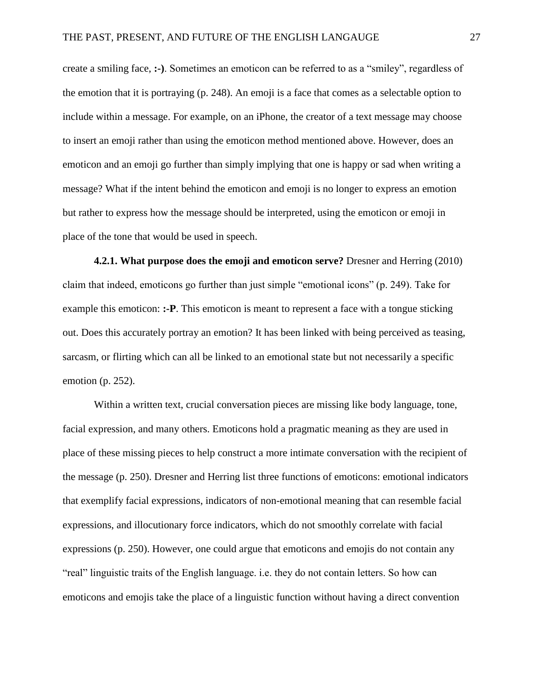create a smiling face, **:-)**. Sometimes an emoticon can be referred to as a "smiley", regardless of the emotion that it is portraying (p. 248). An emoji is a face that comes as a selectable option to include within a message. For example, on an iPhone, the creator of a text message may choose to insert an emoji rather than using the emoticon method mentioned above. However, does an emoticon and an emoji go further than simply implying that one is happy or sad when writing a message? What if the intent behind the emoticon and emoji is no longer to express an emotion but rather to express how the message should be interpreted, using the emoticon or emoji in place of the tone that would be used in speech.

**4.2.1. What purpose does the emoji and emoticon serve?** Dresner and Herring (2010) claim that indeed, emoticons go further than just simple "emotional icons" (p. 249). Take for example this emoticon: **:-P**. This emoticon is meant to represent a face with a tongue sticking out. Does this accurately portray an emotion? It has been linked with being perceived as teasing, sarcasm, or flirting which can all be linked to an emotional state but not necessarily a specific emotion (p. 252).

Within a written text, crucial conversation pieces are missing like body language, tone, facial expression, and many others. Emoticons hold a pragmatic meaning as they are used in place of these missing pieces to help construct a more intimate conversation with the recipient of the message (p. 250). Dresner and Herring list three functions of emoticons: emotional indicators that exemplify facial expressions, indicators of non-emotional meaning that can resemble facial expressions, and illocutionary force indicators, which do not smoothly correlate with facial expressions (p. 250). However, one could argue that emoticons and emojis do not contain any "real" linguistic traits of the English language. i.e. they do not contain letters. So how can emoticons and emojis take the place of a linguistic function without having a direct convention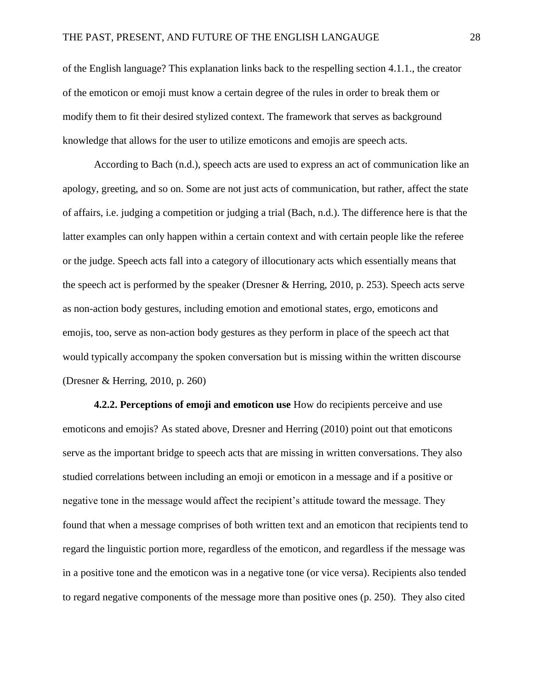of the English language? This explanation links back to the respelling section 4.1.1., the creator of the emoticon or emoji must know a certain degree of the rules in order to break them or modify them to fit their desired stylized context. The framework that serves as background knowledge that allows for the user to utilize emoticons and emojis are speech acts.

According to Bach (n.d.), speech acts are used to express an act of communication like an apology, greeting, and so on. Some are not just acts of communication, but rather, affect the state of affairs, i.e. judging a competition or judging a trial (Bach, n.d.). The difference here is that the latter examples can only happen within a certain context and with certain people like the referee or the judge. Speech acts fall into a category of illocutionary acts which essentially means that the speech act is performed by the speaker (Dresner & Herring, 2010, p. 253). Speech acts serve as non-action body gestures, including emotion and emotional states, ergo, emoticons and emojis, too, serve as non-action body gestures as they perform in place of the speech act that would typically accompany the spoken conversation but is missing within the written discourse (Dresner & Herring, 2010, p. 260)

**4.2.2. Perceptions of emoji and emoticon use** How do recipients perceive and use emoticons and emojis? As stated above, Dresner and Herring (2010) point out that emoticons serve as the important bridge to speech acts that are missing in written conversations. They also studied correlations between including an emoji or emoticon in a message and if a positive or negative tone in the message would affect the recipient's attitude toward the message. They found that when a message comprises of both written text and an emoticon that recipients tend to regard the linguistic portion more, regardless of the emoticon, and regardless if the message was in a positive tone and the emoticon was in a negative tone (or vice versa). Recipients also tended to regard negative components of the message more than positive ones (p. 250). They also cited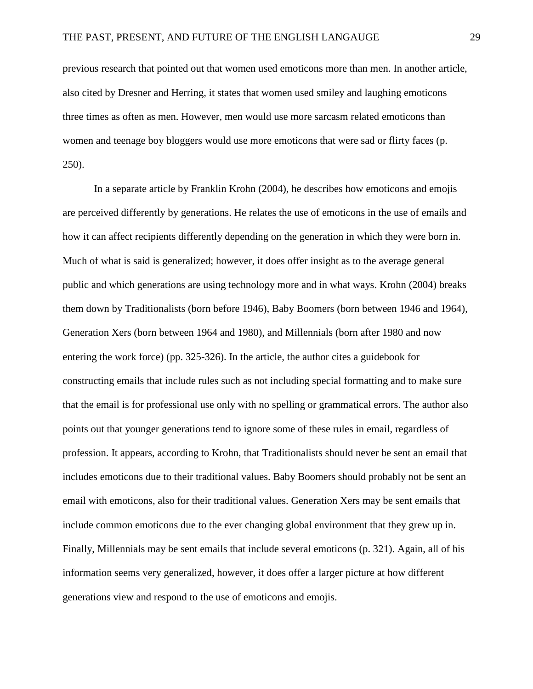previous research that pointed out that women used emoticons more than men. In another article, also cited by Dresner and Herring, it states that women used smiley and laughing emoticons three times as often as men. However, men would use more sarcasm related emoticons than women and teenage boy bloggers would use more emoticons that were sad or flirty faces (p. 250).

In a separate article by Franklin Krohn (2004), he describes how emoticons and emojis are perceived differently by generations. He relates the use of emoticons in the use of emails and how it can affect recipients differently depending on the generation in which they were born in. Much of what is said is generalized; however, it does offer insight as to the average general public and which generations are using technology more and in what ways. Krohn (2004) breaks them down by Traditionalists (born before 1946), Baby Boomers (born between 1946 and 1964), Generation Xers (born between 1964 and 1980), and Millennials (born after 1980 and now entering the work force) (pp. 325-326). In the article, the author cites a guidebook for constructing emails that include rules such as not including special formatting and to make sure that the email is for professional use only with no spelling or grammatical errors. The author also points out that younger generations tend to ignore some of these rules in email, regardless of profession. It appears, according to Krohn, that Traditionalists should never be sent an email that includes emoticons due to their traditional values. Baby Boomers should probably not be sent an email with emoticons, also for their traditional values. Generation Xers may be sent emails that include common emoticons due to the ever changing global environment that they grew up in. Finally, Millennials may be sent emails that include several emoticons (p. 321). Again, all of his information seems very generalized, however, it does offer a larger picture at how different generations view and respond to the use of emoticons and emojis.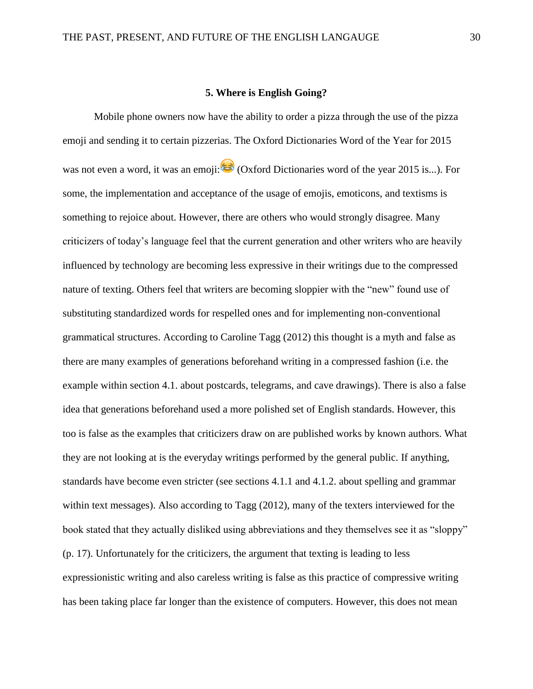### **5. Where is English Going?**

Mobile phone owners now have the ability to order a pizza through the use of the pizza emoji and sending it to certain pizzerias. The Oxford Dictionaries Word of the Year for 2015 was not even a word, it was an emoji:  $\bullet$  (Oxford Dictionaries word of the year 2015 is...). For some, the implementation and acceptance of the usage of emojis, emoticons, and textisms is something to rejoice about. However, there are others who would strongly disagree. Many criticizers of today's language feel that the current generation and other writers who are heavily influenced by technology are becoming less expressive in their writings due to the compressed nature of texting. Others feel that writers are becoming sloppier with the "new" found use of substituting standardized words for respelled ones and for implementing non-conventional grammatical structures. According to Caroline Tagg (2012) this thought is a myth and false as there are many examples of generations beforehand writing in a compressed fashion (i.e. the example within section 4.1. about postcards, telegrams, and cave drawings). There is also a false idea that generations beforehand used a more polished set of English standards. However, this too is false as the examples that criticizers draw on are published works by known authors. What they are not looking at is the everyday writings performed by the general public. If anything, standards have become even stricter (see sections 4.1.1 and 4.1.2. about spelling and grammar within text messages). Also according to Tagg (2012), many of the texters interviewed for the book stated that they actually disliked using abbreviations and they themselves see it as "sloppy" (p. 17). Unfortunately for the criticizers, the argument that texting is leading to less expressionistic writing and also careless writing is false as this practice of compressive writing has been taking place far longer than the existence of computers. However, this does not mean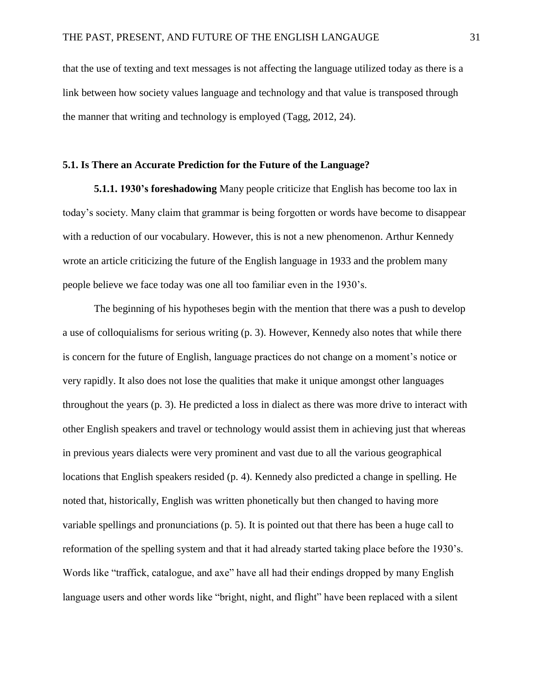that the use of texting and text messages is not affecting the language utilized today as there is a link between how society values language and technology and that value is transposed through the manner that writing and technology is employed (Tagg, 2012, 24).

# **5.1. Is There an Accurate Prediction for the Future of the Language?**

**5.1.1. 1930's foreshadowing** Many people criticize that English has become too lax in today's society. Many claim that grammar is being forgotten or words have become to disappear with a reduction of our vocabulary. However, this is not a new phenomenon. Arthur Kennedy wrote an article criticizing the future of the English language in 1933 and the problem many people believe we face today was one all too familiar even in the 1930's.

The beginning of his hypotheses begin with the mention that there was a push to develop a use of colloquialisms for serious writing (p. 3). However, Kennedy also notes that while there is concern for the future of English, language practices do not change on a moment's notice or very rapidly. It also does not lose the qualities that make it unique amongst other languages throughout the years (p. 3). He predicted a loss in dialect as there was more drive to interact with other English speakers and travel or technology would assist them in achieving just that whereas in previous years dialects were very prominent and vast due to all the various geographical locations that English speakers resided (p. 4). Kennedy also predicted a change in spelling. He noted that, historically, English was written phonetically but then changed to having more variable spellings and pronunciations (p. 5). It is pointed out that there has been a huge call to reformation of the spelling system and that it had already started taking place before the 1930's. Words like "traffick, catalogue, and axe" have all had their endings dropped by many English language users and other words like "bright, night, and flight" have been replaced with a silent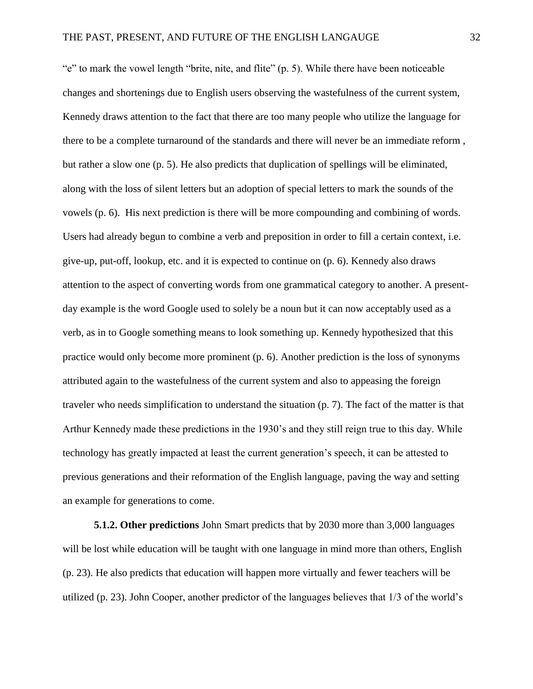"e" to mark the vowel length "brite, nite, and flite" (p. 5). While there have been noticeable changes and shortenings due to English users observing the wastefulness of the current system, Kennedy draws attention to the fact that there are too many people who utilize the language for there to be a complete turnaround of the standards and there will never be an immediate reform , but rather a slow one (p. 5). He also predicts that duplication of spellings will be eliminated, along with the loss of silent letters but an adoption of special letters to mark the sounds of the vowels (p. 6). His next prediction is there will be more compounding and combining of words. Users had already begun to combine a verb and preposition in order to fill a certain context, i.e. give-up, put-off, lookup, etc. and it is expected to continue on (p. 6). Kennedy also draws attention to the aspect of converting words from one grammatical category to another. A presentday example is the word Google used to solely be a noun but it can now acceptably used as a verb, as in to Google something means to look something up. Kennedy hypothesized that this practice would only become more prominent (p. 6). Another prediction is the loss of synonyms attributed again to the wastefulness of the current system and also to appeasing the foreign traveler who needs simplification to understand the situation (p. 7). The fact of the matter is that Arthur Kennedy made these predictions in the 1930's and they still reign true to this day. While technology has greatly impacted at least the current generation's speech, it can be attested to previous generations and their reformation of the English language, paving the way and setting an example for generations to come.

**5.1.2. Other predictions** John Smart predicts that by 2030 more than 3,000 languages will be lost while education will be taught with one language in mind more than others, English (p. 23). He also predicts that education will happen more virtually and fewer teachers will be utilized (p. 23). John Cooper, another predictor of the languages believes that 1/3 of the world's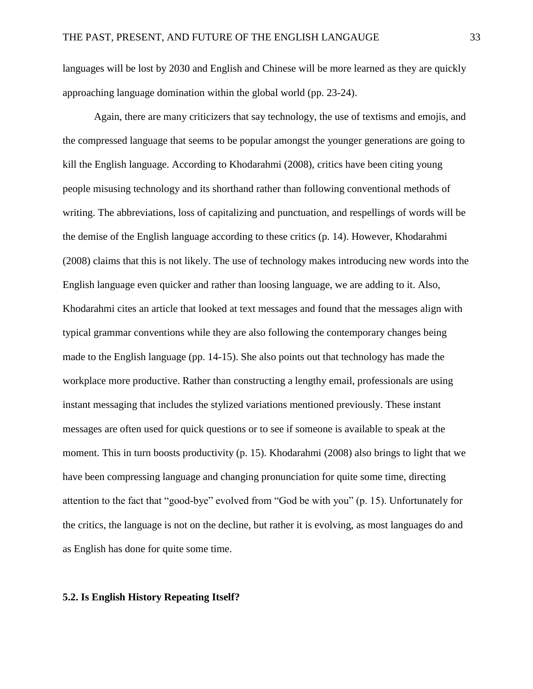languages will be lost by 2030 and English and Chinese will be more learned as they are quickly approaching language domination within the global world (pp. 23-24).

Again, there are many criticizers that say technology, the use of textisms and emojis, and the compressed language that seems to be popular amongst the younger generations are going to kill the English language. According to Khodarahmi (2008), critics have been citing young people misusing technology and its shorthand rather than following conventional methods of writing. The abbreviations, loss of capitalizing and punctuation, and respellings of words will be the demise of the English language according to these critics (p. 14). However, Khodarahmi (2008) claims that this is not likely. The use of technology makes introducing new words into the English language even quicker and rather than loosing language, we are adding to it. Also, Khodarahmi cites an article that looked at text messages and found that the messages align with typical grammar conventions while they are also following the contemporary changes being made to the English language (pp. 14-15). She also points out that technology has made the workplace more productive. Rather than constructing a lengthy email, professionals are using instant messaging that includes the stylized variations mentioned previously. These instant messages are often used for quick questions or to see if someone is available to speak at the moment. This in turn boosts productivity (p. 15). Khodarahmi (2008) also brings to light that we have been compressing language and changing pronunciation for quite some time, directing attention to the fact that "good-bye" evolved from "God be with you" (p. 15). Unfortunately for the critics, the language is not on the decline, but rather it is evolving, as most languages do and as English has done for quite some time.

### **5.2. Is English History Repeating Itself?**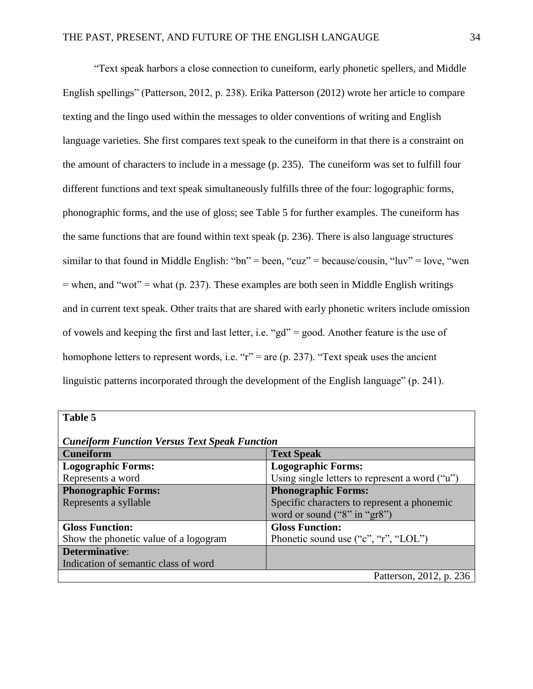"Text speak harbors a close connection to cuneiform, early phonetic spellers, and Middle English spellings" (Patterson, 2012, p. 238). Erika Patterson (2012) wrote her article to compare texting and the lingo used within the messages to older conventions of writing and English language varieties. She first compares text speak to the cuneiform in that there is a constraint on the amount of characters to include in a message (p. 235). The cuneiform was set to fulfill four different functions and text speak simultaneously fulfills three of the four: logographic forms, phonographic forms, and the use of gloss; see Table 5 for further examples. The cuneiform has the same functions that are found within text speak (p. 236). There is also language structures similar to that found in Middle English: "bn" = been, "cuz" = because/cousin, "luv" = love, "wen  $=$  when, and "wot"  $=$  what (p. 237). These examples are both seen in Middle English writings and in current text speak. Other traits that are shared with early phonetic writers include omission of vowels and keeping the first and last letter, i.e. "gd" = good. Another feature is the use of homophone letters to represent words, i.e. " $r$ " = are (p. 237). "Text speak uses the ancient linguistic patterns incorporated through the development of the English language" (p. 241).

| Table 5                                              |                                                |  |  |
|------------------------------------------------------|------------------------------------------------|--|--|
| <b>Cuneiform Function Versus Text Speak Function</b> |                                                |  |  |
| <b>Cuneiform</b>                                     | <b>Text Speak</b>                              |  |  |
| <b>Logographic Forms:</b>                            | <b>Logographic Forms:</b>                      |  |  |
| Represents a word                                    | Using single letters to represent a word ("u") |  |  |
| <b>Phonographic Forms:</b>                           | <b>Phonographic Forms:</b>                     |  |  |
| Represents a syllable                                | Specific characters to represent a phonemic    |  |  |
|                                                      | word or sound ("8" in "gr8")                   |  |  |
| <b>Gloss Function:</b>                               | <b>Gloss Function:</b>                         |  |  |
| Show the phonetic value of a logogram                | Phonetic sound use ("c", "r", "LOL")           |  |  |
| Determinative:                                       |                                                |  |  |
| Indication of semantic class of word                 |                                                |  |  |
|                                                      | Patterson, 2012, p. 236                        |  |  |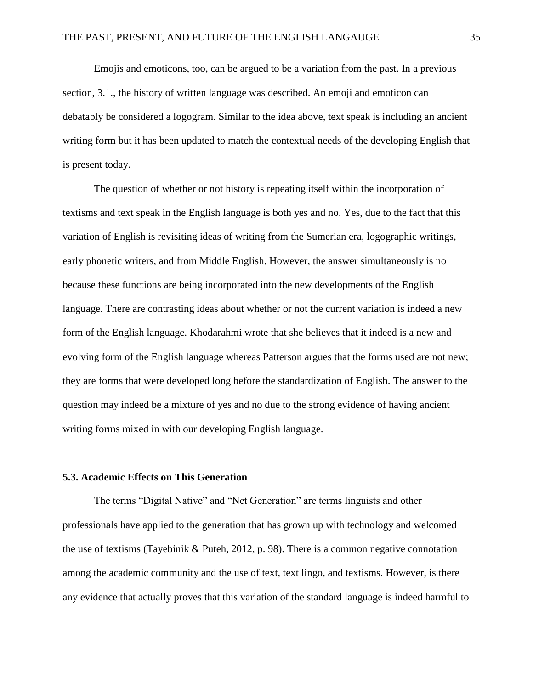Emojis and emoticons, too, can be argued to be a variation from the past. In a previous section, 3.1., the history of written language was described. An emoji and emoticon can debatably be considered a logogram. Similar to the idea above, text speak is including an ancient writing form but it has been updated to match the contextual needs of the developing English that is present today.

The question of whether or not history is repeating itself within the incorporation of textisms and text speak in the English language is both yes and no. Yes, due to the fact that this variation of English is revisiting ideas of writing from the Sumerian era, logographic writings, early phonetic writers, and from Middle English. However, the answer simultaneously is no because these functions are being incorporated into the new developments of the English language. There are contrasting ideas about whether or not the current variation is indeed a new form of the English language. Khodarahmi wrote that she believes that it indeed is a new and evolving form of the English language whereas Patterson argues that the forms used are not new; they are forms that were developed long before the standardization of English. The answer to the question may indeed be a mixture of yes and no due to the strong evidence of having ancient writing forms mixed in with our developing English language.

# **5.3. Academic Effects on This Generation**

The terms "Digital Native" and "Net Generation" are terms linguists and other professionals have applied to the generation that has grown up with technology and welcomed the use of textisms (Tayebinik & Puteh, 2012, p. 98). There is a common negative connotation among the academic community and the use of text, text lingo, and textisms. However, is there any evidence that actually proves that this variation of the standard language is indeed harmful to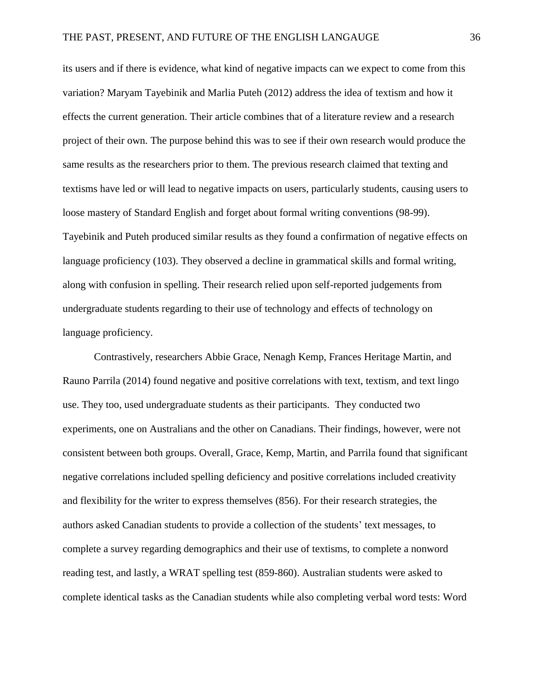its users and if there is evidence, what kind of negative impacts can we expect to come from this variation? Maryam Tayebinik and Marlia Puteh (2012) address the idea of textism and how it effects the current generation. Their article combines that of a literature review and a research project of their own. The purpose behind this was to see if their own research would produce the same results as the researchers prior to them. The previous research claimed that texting and textisms have led or will lead to negative impacts on users, particularly students, causing users to loose mastery of Standard English and forget about formal writing conventions (98-99). Tayebinik and Puteh produced similar results as they found a confirmation of negative effects on language proficiency (103). They observed a decline in grammatical skills and formal writing, along with confusion in spelling. Their research relied upon self-reported judgements from undergraduate students regarding to their use of technology and effects of technology on language proficiency.

Contrastively, researchers Abbie Grace, Nenagh Kemp, Frances Heritage Martin, and Rauno Parrila (2014) found negative and positive correlations with text, textism, and text lingo use. They too, used undergraduate students as their participants. They conducted two experiments, one on Australians and the other on Canadians. Their findings, however, were not consistent between both groups. Overall, Grace, Kemp, Martin, and Parrila found that significant negative correlations included spelling deficiency and positive correlations included creativity and flexibility for the writer to express themselves (856). For their research strategies, the authors asked Canadian students to provide a collection of the students' text messages, to complete a survey regarding demographics and their use of textisms, to complete a nonword reading test, and lastly, a WRAT spelling test (859-860). Australian students were asked to complete identical tasks as the Canadian students while also completing verbal word tests: Word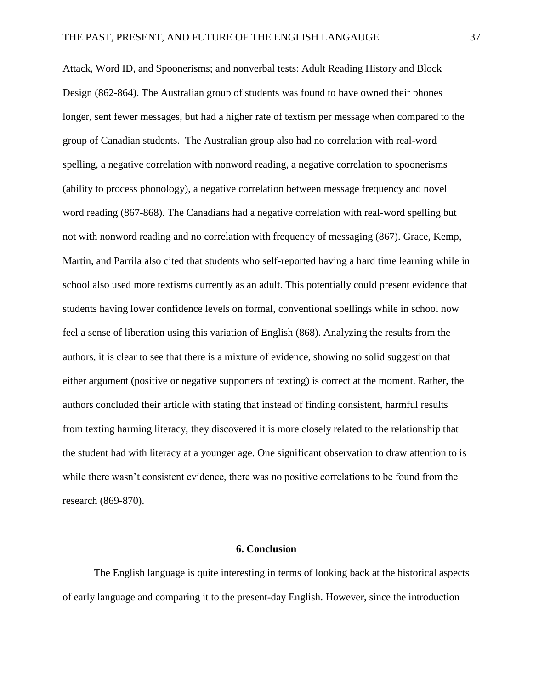Attack, Word ID, and Spoonerisms; and nonverbal tests: Adult Reading History and Block Design (862-864). The Australian group of students was found to have owned their phones longer, sent fewer messages, but had a higher rate of textism per message when compared to the group of Canadian students. The Australian group also had no correlation with real-word spelling, a negative correlation with nonword reading, a negative correlation to spoonerisms (ability to process phonology), a negative correlation between message frequency and novel word reading (867-868). The Canadians had a negative correlation with real-word spelling but not with nonword reading and no correlation with frequency of messaging (867). Grace, Kemp, Martin, and Parrila also cited that students who self-reported having a hard time learning while in school also used more textisms currently as an adult. This potentially could present evidence that students having lower confidence levels on formal, conventional spellings while in school now feel a sense of liberation using this variation of English (868). Analyzing the results from the authors, it is clear to see that there is a mixture of evidence, showing no solid suggestion that either argument (positive or negative supporters of texting) is correct at the moment. Rather, the authors concluded their article with stating that instead of finding consistent, harmful results from texting harming literacy, they discovered it is more closely related to the relationship that the student had with literacy at a younger age. One significant observation to draw attention to is while there wasn't consistent evidence, there was no positive correlations to be found from the research (869-870).

# **6. Conclusion**

The English language is quite interesting in terms of looking back at the historical aspects of early language and comparing it to the present-day English. However, since the introduction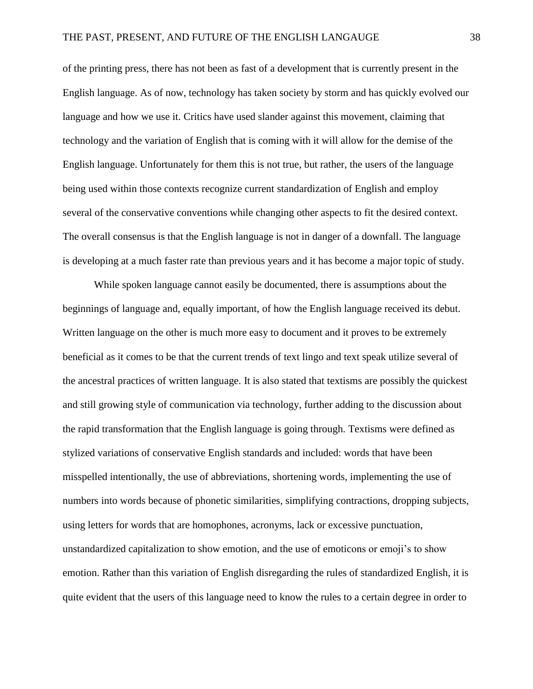of the printing press, there has not been as fast of a development that is currently present in the English language. As of now, technology has taken society by storm and has quickly evolved our language and how we use it. Critics have used slander against this movement, claiming that technology and the variation of English that is coming with it will allow for the demise of the English language. Unfortunately for them this is not true, but rather, the users of the language being used within those contexts recognize current standardization of English and employ several of the conservative conventions while changing other aspects to fit the desired context. The overall consensus is that the English language is not in danger of a downfall. The language is developing at a much faster rate than previous years and it has become a major topic of study.

While spoken language cannot easily be documented, there is assumptions about the beginnings of language and, equally important, of how the English language received its debut. Written language on the other is much more easy to document and it proves to be extremely beneficial as it comes to be that the current trends of text lingo and text speak utilize several of the ancestral practices of written language. It is also stated that textisms are possibly the quickest and still growing style of communication via technology, further adding to the discussion about the rapid transformation that the English language is going through. Textisms were defined as stylized variations of conservative English standards and included: words that have been misspelled intentionally, the use of abbreviations, shortening words, implementing the use of numbers into words because of phonetic similarities, simplifying contractions, dropping subjects, using letters for words that are homophones, acronyms, lack or excessive punctuation, unstandardized capitalization to show emotion, and the use of emoticons or emoji's to show emotion. Rather than this variation of English disregarding the rules of standardized English, it is quite evident that the users of this language need to know the rules to a certain degree in order to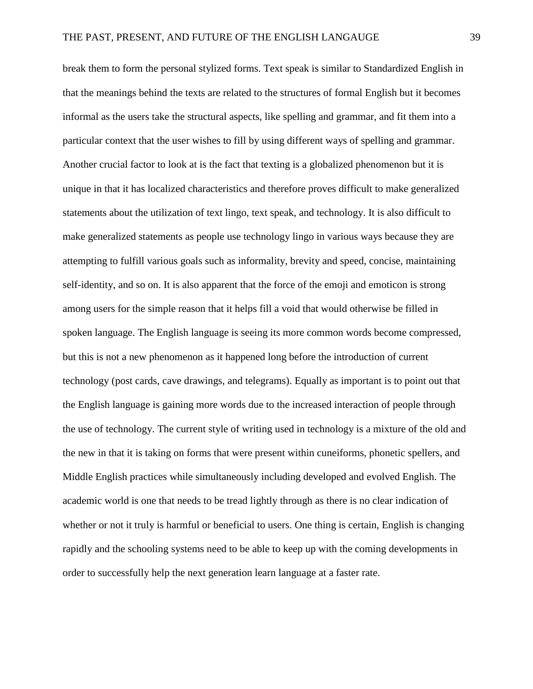break them to form the personal stylized forms. Text speak is similar to Standardized English in that the meanings behind the texts are related to the structures of formal English but it becomes informal as the users take the structural aspects, like spelling and grammar, and fit them into a particular context that the user wishes to fill by using different ways of spelling and grammar. Another crucial factor to look at is the fact that texting is a globalized phenomenon but it is unique in that it has localized characteristics and therefore proves difficult to make generalized statements about the utilization of text lingo, text speak, and technology. It is also difficult to make generalized statements as people use technology lingo in various ways because they are attempting to fulfill various goals such as informality, brevity and speed, concise, maintaining self-identity, and so on. It is also apparent that the force of the emoji and emoticon is strong among users for the simple reason that it helps fill a void that would otherwise be filled in spoken language. The English language is seeing its more common words become compressed, but this is not a new phenomenon as it happened long before the introduction of current technology (post cards, cave drawings, and telegrams). Equally as important is to point out that the English language is gaining more words due to the increased interaction of people through the use of technology. The current style of writing used in technology is a mixture of the old and the new in that it is taking on forms that were present within cuneiforms, phonetic spellers, and Middle English practices while simultaneously including developed and evolved English. The academic world is one that needs to be tread lightly through as there is no clear indication of whether or not it truly is harmful or beneficial to users. One thing is certain, English is changing rapidly and the schooling systems need to be able to keep up with the coming developments in order to successfully help the next generation learn language at a faster rate.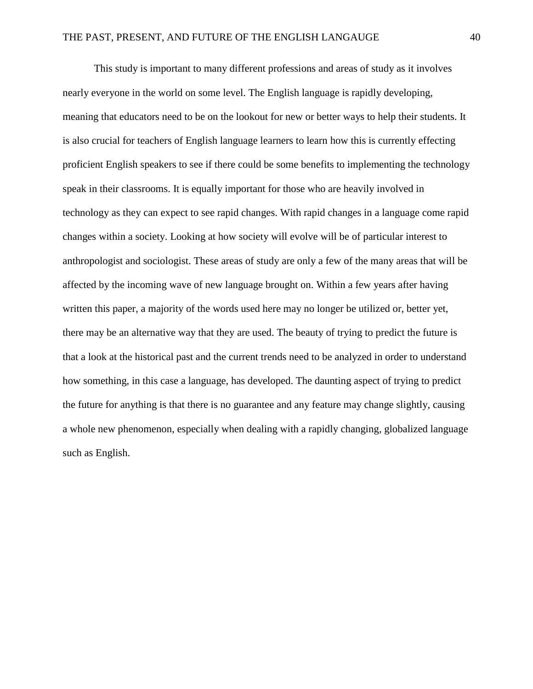This study is important to many different professions and areas of study as it involves nearly everyone in the world on some level. The English language is rapidly developing, meaning that educators need to be on the lookout for new or better ways to help their students. It is also crucial for teachers of English language learners to learn how this is currently effecting proficient English speakers to see if there could be some benefits to implementing the technology speak in their classrooms. It is equally important for those who are heavily involved in technology as they can expect to see rapid changes. With rapid changes in a language come rapid changes within a society. Looking at how society will evolve will be of particular interest to anthropologist and sociologist. These areas of study are only a few of the many areas that will be affected by the incoming wave of new language brought on. Within a few years after having written this paper, a majority of the words used here may no longer be utilized or, better yet, there may be an alternative way that they are used. The beauty of trying to predict the future is that a look at the historical past and the current trends need to be analyzed in order to understand how something, in this case a language, has developed. The daunting aspect of trying to predict the future for anything is that there is no guarantee and any feature may change slightly, causing a whole new phenomenon, especially when dealing with a rapidly changing, globalized language such as English.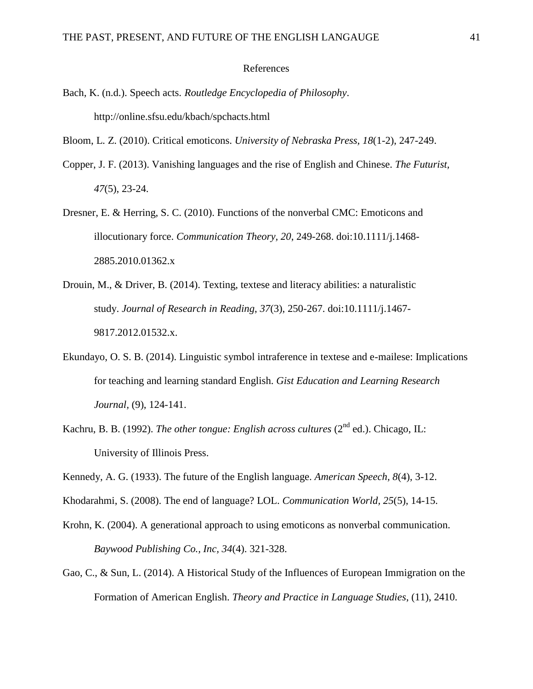### References

Bach, K. (n.d.). Speech acts. *Routledge Encyclopedia of Philosophy*. http://online.sfsu.edu/kbach/spchacts.html

Bloom, L. Z. (2010). Critical emoticons. *University of Nebraska Press, 18*(1-2), 247-249.

- Copper, J. F. (2013). Vanishing languages and the rise of English and Chinese. *The Futurist, 47*(5), 23-24.
- Dresner, E. & Herring, S. C. (2010). Functions of the nonverbal CMC: Emoticons and illocutionary force. *Communication Theory, 20*, 249-268. doi:10.1111/j.1468- 2885.2010.01362.x
- Drouin, M., & Driver, B. (2014). Texting, textese and literacy abilities: a naturalistic study. *Journal of Research in Reading*, *37*(3), 250-267. doi:10.1111/j.1467- 9817.2012.01532.x.
- Ekundayo, O. S. B. (2014). Linguistic symbol intraference in textese and e-mailese: Implications for teaching and learning standard English. *Gist Education and Learning Research Journal,* (9), 124-141.
- Kachru, B. B. (1992). *The other tongue: English across cultures* (2<sup>nd</sup> ed.). Chicago, IL: University of Illinois Press.
- Kennedy, A. G. (1933). The future of the English language. *American Speech, 8*(4), 3-12.
- Khodarahmi, S. (2008). The end of language? LOL. *Communication World, 25*(5), 14-15.
- Krohn, K. (2004). A generational approach to using emoticons as nonverbal communication. *Baywood Publishing Co., Inc, 34*(4). 321-328.
- Gao, C., & Sun, L. (2014). A Historical Study of the Influences of European Immigration on the Formation of American English. *Theory and Practice in Language Studies*, (11), 2410.